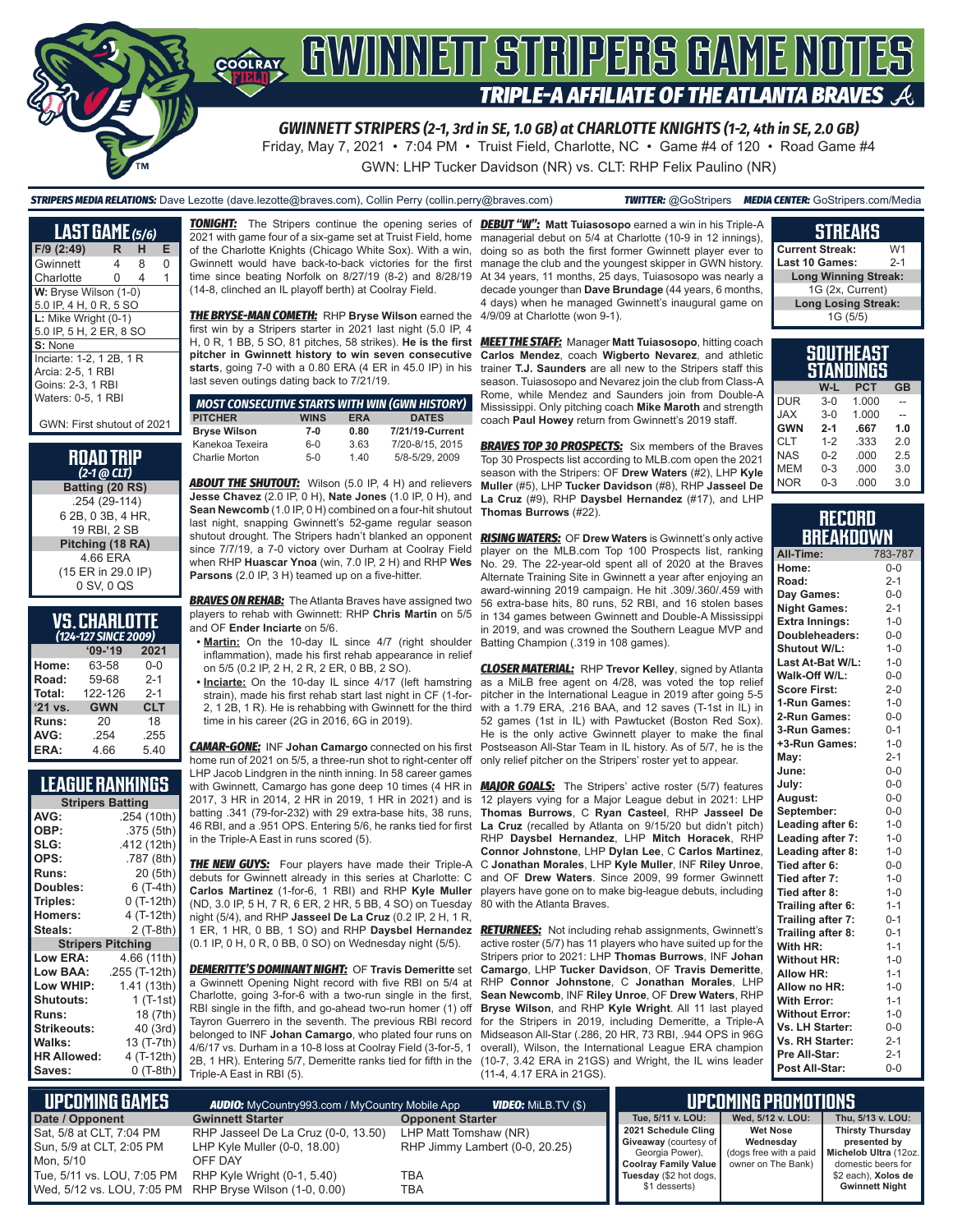

*GWINNETT STRIPERS (2-1, 3rd in SE, 1.0 GB) at CHARLOTTE KNIGHTS (1-2, 4th in SE, 2.0 GB)*

Friday, May 7, 2021 • 7:04 PM • Truist Field, Charlotte, NC • Game #4 of 120 • Road Game #4 GWN: LHP Tucker Davidson (NR) vs. CLT: RHP Felix Paulino (NR)

*STRIPERS MEDIA RELATIONS:* Dave Lezotte (dave.lezotte@braves.com), Collin Perry (collin.perry@braves.com) *TWITTER:* @GoStripers *MEDIA CENTER:* GoStripers.com/Media

| <b>LAST GAME</b> (5/6)                                                                   |   |   |   |  |  |  |
|------------------------------------------------------------------------------------------|---|---|---|--|--|--|
| $F/9$ (2:49)                                                                             | R | н | Е |  |  |  |
| Gwinnett                                                                                 | 4 | 8 | ი |  |  |  |
| Charlotte                                                                                | 0 | 4 |   |  |  |  |
| W: Bryse Wilson (1-0)<br>5.0 IP, 4 H, 0 R, 5 SO                                          |   |   |   |  |  |  |
| L: Mike Wright (0-1)<br>5.0 IP. 5 H. 2 ER. 8 SO                                          |   |   |   |  |  |  |
| S: None                                                                                  |   |   |   |  |  |  |
| Inciarte: 1-2, 1 2B, 1 R<br>Arcia: 2-5, 1 RBI<br>Goins: 2-3, 1 RBI<br>Waters: 0-5, 1 RBI |   |   |   |  |  |  |

GWN: First shutout of 2021

#### **ROAD TRIP**  *(2-1 @ CLT)*

**Batting (20 RS)** .254 (29-114) 6 2B, 0 3B, 4 HR, 19 RBI, 2 SB **Pitching (18 RA)** 4.66 ERA (15 ER in 29.0 IP) 0 SV, 0 QS

### **VS. CHARLOTTE**

| (124-127 SINCE 2009) |            |            |  |  |  |  |  |
|----------------------|------------|------------|--|--|--|--|--|
| $09 - 19$<br>2021    |            |            |  |  |  |  |  |
| Home:                | 63-58      | $0 - 0$    |  |  |  |  |  |
| Road:                | 59-68      | $2 - 1$    |  |  |  |  |  |
| Total:               | 122-126    | $2 - 1$    |  |  |  |  |  |
| $'21$ vs.            | <b>GWN</b> | <b>CLT</b> |  |  |  |  |  |
| Runs:                | 20         | 18         |  |  |  |  |  |
| AVG:                 | .254       | .255       |  |  |  |  |  |
| ERA:                 | 4.66       | 5.40       |  |  |  |  |  |

## **LEAGUE RANKINGS**

| <b>Stripers Batting</b>  |               |  |  |  |  |  |
|--------------------------|---------------|--|--|--|--|--|
| AVG:                     | .254 (10th)   |  |  |  |  |  |
| OBP:                     | .375 (5th)    |  |  |  |  |  |
| SLG:                     | .412 (12th)   |  |  |  |  |  |
| OPS:                     | .787 (8th)    |  |  |  |  |  |
| <b>Runs:</b>             | 20 (5th)      |  |  |  |  |  |
| Doubles:                 | 6 (T-4th)     |  |  |  |  |  |
| Triples:                 | 0 (T-12th)    |  |  |  |  |  |
| <b>Homers:</b>           | 4 (T-12th)    |  |  |  |  |  |
| Steals:                  | 2 (T-8th)     |  |  |  |  |  |
| <b>Stripers Pitching</b> |               |  |  |  |  |  |
| <b>Low ERA:</b>          | 4.66 (11th)   |  |  |  |  |  |
| Low BAA:                 | .255 (T-12th) |  |  |  |  |  |
| Low WHIP:                | 1.41 (13th)   |  |  |  |  |  |
| <b>Shutouts:</b>         | 1 (T-1st)     |  |  |  |  |  |
| <b>Runs:</b>             | 18 (7th)      |  |  |  |  |  |
| <b>Strikeouts:</b>       | 40 (3rd)      |  |  |  |  |  |
| Walks:                   | 13 (T-7th)    |  |  |  |  |  |
| <b>HR Allowed:</b>       | 4 (T-12th)    |  |  |  |  |  |
| Saves:                   | $0(T-8th)$    |  |  |  |  |  |

2021 with game four of a six-game set at Truist Field, home of the Charlotte Knights (Chicago White Sox). With a win, Gwinnett would have back-to-back victories for the first time since beating Norfolk on 8/27/19 (8-2) and 8/28/19 (14-8, clinched an IL playoff berth) at Coolray Field.

*THE BRYSE-MAN COMETH:* RHP **Bryse Wilson** earned the first win by a Stripers starter in 2021 last night (5.0 IP, 4 H, 0 R, 1 BB, 5 SO, 81 pitches, 58 strikes). **He is the first**  *MEET THE STAFF:* Manager **Matt Tuiasosopo**, hitting coach **pitcher in Gwinnett history to win seven consecutive starts**, going 7-0 with a 0.80 ERA (4 ER in 45.0 IP) in his last seven outings dating back to 7/21/19.

| <b>MOST CONSECUTIVE STARTS WITH WIN (GWN HISTORY)</b> |             |            |                 |
|-------------------------------------------------------|-------------|------------|-----------------|
| <b>PITCHER</b>                                        | <b>WINS</b> | <b>ERA</b> | <b>DATES</b>    |
| <b>Bryse Wilson</b>                                   | 7-0         | 0.80       | 7/21/19-Current |
| Kanekoa Texeira                                       | $6 - 0$     | 3.63       | 7/20-8/15, 2015 |
| Charlie Morton                                        | $5-0$       | 140        | 5/8-5/29, 2009  |

**ABOUT THE SHUTOUT:** Wilson (5.0 IP, 4 H) and relievers **Jesse Chavez** (2.0 IP, 0 H), **Nate Jones** (1.0 IP, 0 H), and **Sean Newcomb** (1.0 IP, 0 H) combined on a four-hit shutout last night, snapping Gwinnett's 52-game regular season shutout drought. The Stripers hadn't blanked an opponent since 7/7/19, a 7-0 victory over Durham at Coolray Field when RHP **Huascar Ynoa** (win, 7.0 IP, 2 H) and RHP **Wes Parsons** (2.0 IP, 3 H) teamed up on a five-hitter.

*BRAVES ON REHAB:* The Atlanta Braves have assigned two players to rehab with Gwinnett: RHP **Chris Martin** on 5/5 and OF **Ender Inciarte** on 5/6.

- **• Martin:** On the 10-day IL since 4/7 (right shoulder inflammation), made his first rehab appearance in relief on 5/5 (0.2 IP, 2 H, 2 R, 2 ER, 0 BB, 2 SO).
- **• Inciarte:** On the 10-day IL since 4/17 (left hamstring strain), made his first rehab start last night in CF (1-for-2, 1 2B, 1 R). He is rehabbing with Gwinnett for the third time in his career (2G in 2016, 6G in 2019).

*CAMAR-GONE:* INF **Johan Camargo** connected on his first home run of 2021 on 5/5, a three-run shot to right-center off LHP Jacob Lindgren in the ninth inning. In 58 career games with Gwinnett, Camargo has gone deep 10 times (4 HR in 2017, 3 HR in 2014, 2 HR in 2019, 1 HR in 2021) and is batting .341 (79-for-232) with 29 extra-base hits, 38 runs, 46 RBI, and a .951 OPS. Entering 5/6, he ranks tied for first in the Triple-A East in runs scored (5).

**THE NEW GUYS:** Four players have made their Triple-A debuts for Gwinnett already in this series at Charlotte: C **Carlos Martinez** (1-for-6, 1 RBI) and RHP **Kyle Muller** players have gone on to make big-league debuts, including (ND, 3.0 IP, 5 H, 7 R, 6 ER, 2 HR, 5 BB, 4 SO) on Tuesday night (5/4), and RHP **Jasseel De La Cruz** (0.2 IP, 2 H, 1 R, 1 ER, 1 HR, 0 BB, 1 SO) and RHP **Daysbel Hernandez** *RETURNEES:* Not including rehab assignments, Gwinnett's (0.1 IP, 0 H, 0 R, 0 BB, 0 SO) on Wednesday night (5/5).

*DEMERITTE'S DOMINANT NIGHT:* OF **Travis Demeritte** set a Gwinnett Opening Night record with five RBI on 5/4 at RHP **Connor Johnstone**, C **Jonathan Morales**, LHP Charlotte, going 3-for-6 with a two-run single in the first, RBI single in the fifth, and go-ahead two-run homer (1) off Tayron Guerrero in the seventh. The previous RBI record belonged to INF **Johan Camargo**, who plated four runs on 4/6/17 vs. Durham in a 10-8 loss at Coolray Field (3-for-5, 1 overall), Wilson, the International League ERA champion 2B, 1 HR). Entering 5/7, Demeritte ranks tied for fifth in the (10-7, 3.42 ERA in 21GS) and Wright, the IL wins leader Triple-A East in RBI (5).

*TONIGHT:* The Stripers continue the opening series of *DEBUT "W":* **Matt Tuiasosopo** earned a win in his Triple-A managerial debut on 5/4 at Charlotte (10-9 in 12 innings), doing so as both the first former Gwinnett player ever to manage the club and the youngest skipper in GWN history. At 34 years, 11 months, 25 days, Tuiasosopo was nearly a decade younger than **Dave Brundage** (44 years, 6 months, 4 days) when he managed Gwinnett's inaugural game on 4/9/09 at Charlotte (won 9-1).

> **Carlos Mendez**, coach **Wigberto Nevarez**, and athletic trainer **T.J. Saunders** are all new to the Stripers staff this season. Tuiasosopo and Nevarez join the club from Class-A Rome, while Mendez and Saunders join from Double-A Mississippi. Only pitching coach **Mike Maroth** and strength coach **Paul Howey** return from Gwinnett's 2019 staff.

> **BRAVES TOP 30 PROSPECTS:** Six members of the Braves Top 30 Prospects list according to MLB.com open the 2021 season with the Stripers: OF **Drew Waters** (#2), LHP **Kyle Muller** (#5), LHP **Tucker Davidson** (#8), RHP **Jasseel De La Cruz** (#9), RHP **Daysbel Hernandez** (#17), and LHP **Thomas Burrows** (#22).

> *RISING WATERS:* OF **Drew Waters** is Gwinnett's only active player on the MLB.com Top 100 Prospects list, ranking No. 29. The 22-year-old spent all of 2020 at the Braves Alternate Training Site in Gwinnett a year after enjoying an award-winning 2019 campaign. He hit .309/.360/.459 with 56 extra-base hits, 80 runs, 52 RBI, and 16 stolen bases in 134 games between Gwinnett and Double-A Mississippi in 2019, and was crowned the Southern League MVP and Batting Champion (.319 in 108 games).

> *CLOSER MATERIAL:* RHP **Trevor Kelley**, signed by Atlanta as a MiLB free agent on 4/28, was voted the top relief pitcher in the International League in 2019 after going 5-5 with a 1.79 ERA, .216 BAA, and 12 saves (T-1st in IL) in 52 games (1st in IL) with Pawtucket (Boston Red Sox). He is the only active Gwinnett player to make the final Postseason All-Star Team in IL history. As of 5/7, he is the only relief pitcher on the Stripers' roster yet to appear.

*MAJOR GOALS:* The Stripers' active roster (5/7) features 12 players vying for a Major League debut in 2021: LHP **Thomas Burrows**, C **Ryan Casteel**, RHP **Jasseel De La Cruz** (recalled by Atlanta on 9/15/20 but didn't pitch) RHP **Daysbel Hernandez**, LHP **Mitch Horacek**, RHP **Connor Johnstone**, LHP **Dylan Lee**, C **Carlos Martinez**, C **Jonathan Morales**, LHP **Kyle Muller**, INF **Riley Unroe**, and OF **Drew Waters**. Since 2009, 99 former Gwinnett 80 with the Atlanta Braves.

active roster (5/7) has 11 players who have suited up for the Stripers prior to 2021: LHP **Thomas Burrows**, INF **Johan Camargo**, LHP **Tucker Davidson**, OF **Travis Demeritte**, **Sean Newcomb**, INF **Riley Unroe**, OF **Drew Waters**, RHP **Bryse Wilson**, and RHP **Kyle Wright**. All 11 last played for the Stripers in 2019, including Demeritte, a Triple-A Midseason All-Star (.286, 20 HR, 73 RBI, .944 OPS in 96G (11-4, 4.17 ERA in 21GS).

### **STREAKS**

| <b>Current Streak:</b>      | W1      |  |  |  |  |
|-----------------------------|---------|--|--|--|--|
| <b>Last 10 Games:</b>       | $2 - 1$ |  |  |  |  |
| <b>Long Winning Streak:</b> |         |  |  |  |  |
| 1G (2x, Current)            |         |  |  |  |  |
| <b>Long Losing Streak:</b>  |         |  |  |  |  |
| 1G (5/5)                    |         |  |  |  |  |

| SOUTHEAST<br>INGS |         |            |           |  |  |
|-------------------|---------|------------|-----------|--|--|
|                   | W-L     | <b>PCT</b> | <b>GB</b> |  |  |
| <b>DUR</b>        | $3-0$   | 1.000      |           |  |  |
| <b>JAX</b>        | $3-0$   | 1.000      |           |  |  |
| <b>GWN</b>        | $2 - 1$ | .667       | 1.0       |  |  |
| <b>CLT</b>        | $1 - 2$ | .333       | 2.0       |  |  |
| <b>NAS</b>        | $0 - 2$ | .000       | 2.5       |  |  |
| <b>MEM</b>        | $0 - 3$ | .000       | 3.0       |  |  |
| NOR               | $0 - 3$ | .000       | 3.0       |  |  |

### **RECORD BREAKDOWN**

| All-Time:                                   | . .<br>783-787 |
|---------------------------------------------|----------------|
| Home:                                       | $0 - 0$        |
| Road:                                       | $2 - 1$        |
| Day Games:                                  | $0-0$          |
| <b>Night Games:</b>                         | $2 - 1$        |
| <b>Extra Innings:</b>                       | $1 - 0$        |
| Doubleheaders:                              | $0-0$          |
| <b>Shutout W/L:</b>                         | $1 - 0$        |
| Last At-Bat W/L:                            | $1 - 0$        |
| Walk-Off W/L:                               | $0 - 0$        |
| <b>Score First:</b>                         | $2 - 0$        |
| 1-Run Games:                                | $1 - 0$        |
| 2-Run Games:                                | $0-0$          |
| 3-Run Games:                                | $0 - 1$        |
| +3-Run Games:                               | $1 - 0$        |
| May:                                        | $2 - 1$        |
| June:                                       | $0-0$          |
| July:                                       | $0-0$          |
| August:                                     | $0-0$          |
| September:                                  | $0-0$          |
| Leading after 6:                            | $1 - 0$        |
| Leading after 7:                            | $1 - 0$        |
| Leading after 8:                            | $1 - 0$        |
| Tied after 6:                               | $0 - 0$        |
| Tied after 7:                               | $1 - 0$        |
| Tied after 8:                               | $1 - 0$        |
| Trailing after 6:                           | $1 - 1$        |
| Trailing after 7:                           | $0 - 1$        |
| Trailing after 8:                           | $0 - 1$        |
| With HR:                                    | $1 - 1$        |
| <b>Without HR:</b>                          | $1 - 0$        |
| <b>Allow HR:</b>                            | $1 - 1$        |
| Allow no HR:                                | $1-0$          |
| <b>With Error:</b><br><b>Without Error:</b> | $1 - 1$        |
|                                             | $1 - 0$        |
| Vs. LH Starter:                             | $0-0$          |
| Vs. RH Starter:<br>Pre All-Star:            | $2 - 1$        |
|                                             | $2 - 1$        |
| Post All-Star:                              | $0-0$          |

| <b>UPCOMING GAMES</b>                                             | <b>AUDIO:</b> MyCountry993.com / MyCountry Mobile App<br><b>VIDEO:</b> Milb.TV (\$)    |                                                         |  |
|-------------------------------------------------------------------|----------------------------------------------------------------------------------------|---------------------------------------------------------|--|
| Date / Opponent                                                   | <b>Gwinnett Starter</b>                                                                | <b>Opponent Starter</b>                                 |  |
| Sat, 5/8 at CLT, 7:04 PM<br>Sun, 5/9 at CLT, 2:05 PM<br>Mon. 5/10 | RHP Jasseel De La Cruz (0-0, 13.50)<br>LHP Kyle Muller (0-0, 18.00)<br>OFF DAY         | LHP Matt Tomshaw (NR)<br>RHP Jimmy Lambert (0-0, 20.25) |  |
| Tue, 5/11 vs. LOU, 7:05 PM                                        | RHP Kyle Wright (0-1, 5.40)<br>Wed, 5/12 vs. LOU, 7:05 PM RHP Bryse Wilson (1-0, 0.00) | TBA<br>TBA                                              |  |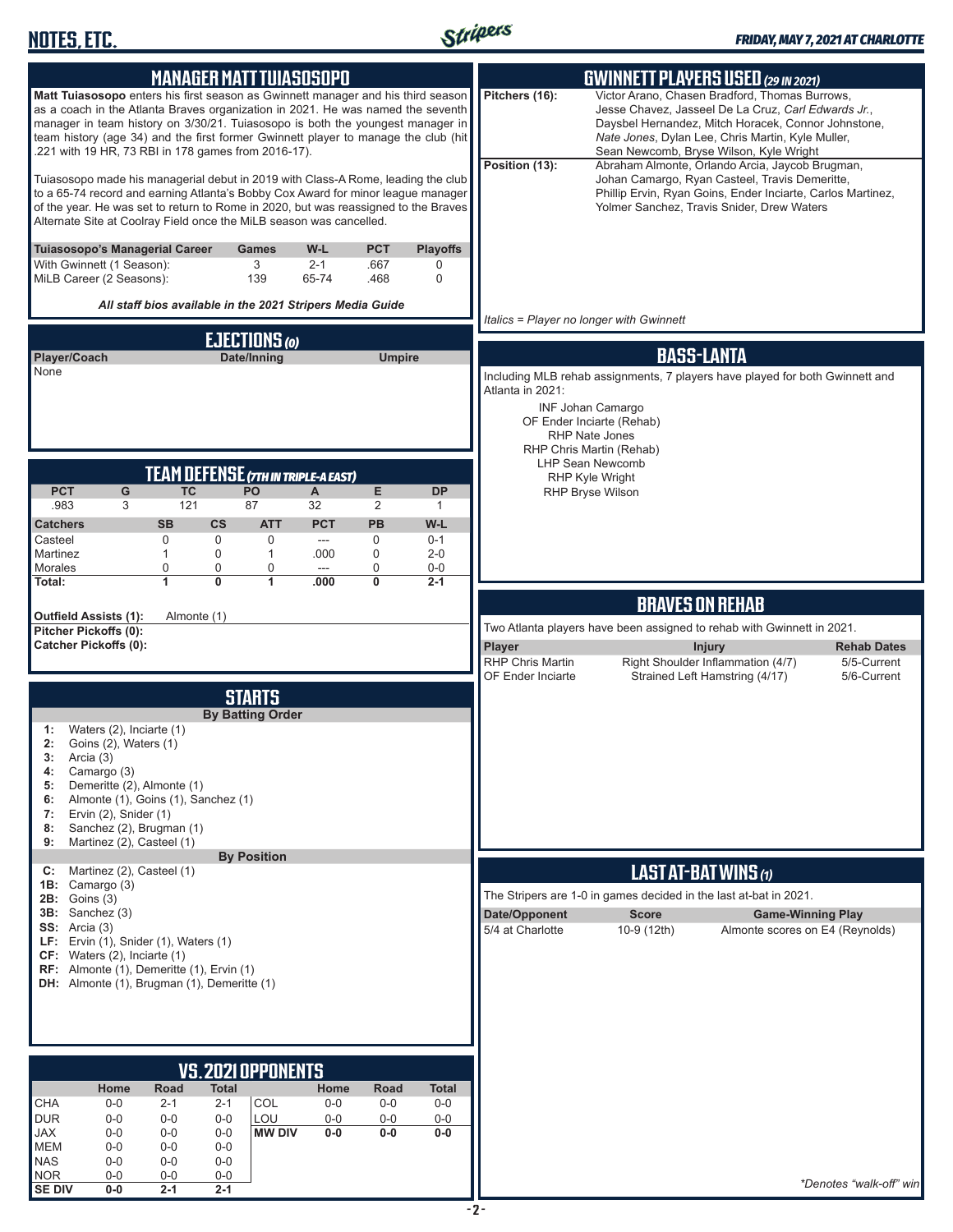

| <b>MANAGER MATTTUIASOSOPO</b>                                                                                                                                                                                                                                                                                                                                                                      | <b>GWINNETT PLAYERS USED (29 IN 2021)</b>                                                                                                                                                                                                                                                                                                           |
|----------------------------------------------------------------------------------------------------------------------------------------------------------------------------------------------------------------------------------------------------------------------------------------------------------------------------------------------------------------------------------------------------|-----------------------------------------------------------------------------------------------------------------------------------------------------------------------------------------------------------------------------------------------------------------------------------------------------------------------------------------------------|
| Matt Tuiasosopo enters his first season as Gwinnett manager and his third season<br>as a coach in the Atlanta Braves organization in 2021. He was named the seventh<br>manager in team history on 3/30/21. Tuiasosopo is both the youngest manager in<br>team history (age 34) and the first former Gwinnett player to manage the club (hit<br>.221 with 19 HR, 73 RBI in 178 games from 2016-17). | Victor Arano, Chasen Bradford, Thomas Burrows,<br>Pitchers (16):<br>Jesse Chavez, Jasseel De La Cruz, Carl Edwards Jr.,<br>Daysbel Hernandez, Mitch Horacek, Connor Johnstone,<br>Nate Jones, Dylan Lee, Chris Martin, Kyle Muller,<br>Sean Newcomb, Bryse Wilson, Kyle Wright<br>Position (13):<br>Abraham Almonte, Orlando Arcia, Jaycob Brugman, |
| Tuiasosopo made his managerial debut in 2019 with Class-A Rome, leading the club<br>to a 65-74 record and earning Atlanta's Bobby Cox Award for minor league manager<br>of the year. He was set to return to Rome in 2020, but was reassigned to the Braves<br>Alternate Site at Coolray Field once the MiLB season was cancelled.                                                                 | Johan Camargo, Ryan Casteel, Travis Demeritte,<br>Phillip Ervin, Ryan Goins, Ender Inciarte, Carlos Martinez,<br>Yolmer Sanchez, Travis Snider, Drew Waters                                                                                                                                                                                         |
| Tuiasosopo's Managerial Career<br>W-L<br>PCT<br><b>Playoffs</b><br>Games<br>3<br>With Gwinnett (1 Season):<br>$2 - 1$<br>.667<br>0<br>MiLB Career (2 Seasons):<br>139<br>65-74<br>.468<br>0                                                                                                                                                                                                        |                                                                                                                                                                                                                                                                                                                                                     |
| All staff bios available in the 2021 Stripers Media Guide                                                                                                                                                                                                                                                                                                                                          | Italics = Player no longer with Gwinnett                                                                                                                                                                                                                                                                                                            |
| <b>EJECTIONS (0)</b><br>Date/Inning                                                                                                                                                                                                                                                                                                                                                                | <b>BASS-LANTA</b>                                                                                                                                                                                                                                                                                                                                   |
| Player/Coach<br><b>Umpire</b><br>None                                                                                                                                                                                                                                                                                                                                                              | Including MLB rehab assignments, 7 players have played for both Gwinnett and                                                                                                                                                                                                                                                                        |
|                                                                                                                                                                                                                                                                                                                                                                                                    | Atlanta in 2021:<br><b>INF Johan Camargo</b>                                                                                                                                                                                                                                                                                                        |
|                                                                                                                                                                                                                                                                                                                                                                                                    | OF Ender Inciarte (Rehab)                                                                                                                                                                                                                                                                                                                           |
|                                                                                                                                                                                                                                                                                                                                                                                                    | <b>RHP Nate Jones</b><br>RHP Chris Martin (Rehab)                                                                                                                                                                                                                                                                                                   |
| <b>TEAM DEFENSE (7TH IN TRIPLE-A EAST)</b>                                                                                                                                                                                                                                                                                                                                                         | <b>LHP Sean Newcomb</b><br><b>RHP Kyle Wright</b>                                                                                                                                                                                                                                                                                                   |
| <b>PCT</b><br>G<br><b>TC</b><br>PO<br>Е<br><b>DP</b><br>A<br>.983<br>121<br>87<br>32<br>2<br>3<br>1                                                                                                                                                                                                                                                                                                | <b>RHP Bryse Wilson</b>                                                                                                                                                                                                                                                                                                                             |
| <b>CS</b><br><b>PCT</b><br><b>PB</b><br>W-L<br><b>Catchers</b><br><b>SB</b><br><b>ATT</b>                                                                                                                                                                                                                                                                                                          |                                                                                                                                                                                                                                                                                                                                                     |
| $\mathbf 0$<br>0<br>0<br>$\mathbf 0$<br>Casteel<br>$0 - 1$<br>---<br>0<br>0<br>Martinez<br>$\mathbf{1}$<br>$\mathbf{1}$<br>.000<br>$2 - 0$                                                                                                                                                                                                                                                         |                                                                                                                                                                                                                                                                                                                                                     |
| Morales<br>$\pmb{0}$<br>0<br>0<br>0<br>$0-0$<br>---<br>$\overline{0}$<br>1<br>1<br>0<br>Total:<br>.000<br>$2 - 1$                                                                                                                                                                                                                                                                                  |                                                                                                                                                                                                                                                                                                                                                     |
|                                                                                                                                                                                                                                                                                                                                                                                                    | <b>BRAVES ON REHAB</b>                                                                                                                                                                                                                                                                                                                              |
| Outfield Assists (1):<br>Almonte (1)<br>Pitcher Pickoffs (0):                                                                                                                                                                                                                                                                                                                                      | Two Atlanta players have been assigned to rehab with Gwinnett in 2021.                                                                                                                                                                                                                                                                              |
| <b>Catcher Pickoffs (0):</b>                                                                                                                                                                                                                                                                                                                                                                       | Player<br><b>Injury</b><br><b>Rehab Dates</b>                                                                                                                                                                                                                                                                                                       |
|                                                                                                                                                                                                                                                                                                                                                                                                    | <b>RHP Chris Martin</b><br>Right Shoulder Inflammation (4/7)<br>5/5-Current<br><b>OF Ender Inciarte</b><br>Strained Left Hamstring (4/17)<br>5/6-Current                                                                                                                                                                                            |
| <b>STARTS</b>                                                                                                                                                                                                                                                                                                                                                                                      |                                                                                                                                                                                                                                                                                                                                                     |
| <b>By Batting Order</b><br>Waters (2), Inciarte (1)<br>1:<br>2:<br>Goins (2), Waters (1)<br>3:<br>Arcia (3)<br>Camargo (3)<br>4:<br>Demeritte (2), Almonte (1)<br>5:<br>Almonte (1), Goins (1), Sanchez (1)<br>6:<br>Ervin (2), Snider (1)<br>7:<br>Sanchez (2), Brugman (1)<br>8:<br>Martinez (2), Casteel (1)<br>9:<br><b>By Position</b>                                                        |                                                                                                                                                                                                                                                                                                                                                     |
| Martinez (2), Casteel (1)<br>C:                                                                                                                                                                                                                                                                                                                                                                    | LAST AT-BAT WINS (1)                                                                                                                                                                                                                                                                                                                                |
| <b>1B:</b> Camargo $(3)$<br><b>2B:</b> Goins (3)                                                                                                                                                                                                                                                                                                                                                   | The Stripers are 1-0 in games decided in the last at-bat in 2021.                                                                                                                                                                                                                                                                                   |
| 3B: Sanchez (3)<br>SS: Arcia(3)<br>LF: Ervin (1), Snider (1), Waters (1)<br>CF: Waters (2), Inciarte (1)<br>RF: Almonte (1), Demeritte (1), Ervin (1)<br>DH: Almonte (1), Brugman (1), Demeritte (1)                                                                                                                                                                                               | Date/Opponent<br><b>Score</b><br><b>Game-Winning Play</b><br>5/4 at Charlotte<br>10-9 (12th)<br>Almonte scores on E4 (Reynolds)                                                                                                                                                                                                                     |
|                                                                                                                                                                                                                                                                                                                                                                                                    |                                                                                                                                                                                                                                                                                                                                                     |
|                                                                                                                                                                                                                                                                                                                                                                                                    |                                                                                                                                                                                                                                                                                                                                                     |
| <b>VS.2021 OPPONENTS</b>                                                                                                                                                                                                                                                                                                                                                                           |                                                                                                                                                                                                                                                                                                                                                     |
|                                                                                                                                                                                                                                                                                                                                                                                                    |                                                                                                                                                                                                                                                                                                                                                     |
| Road<br>Total<br>Home<br>Home<br>Road<br>Total                                                                                                                                                                                                                                                                                                                                                     |                                                                                                                                                                                                                                                                                                                                                     |
| <b>CHA</b><br>$0-0$<br>COL<br>$2 - 1$<br>$0-0$<br>$0-0$<br>$0-0$<br>2-1<br>LOU<br><b>DUR</b><br>$0-0$<br>$0-0$<br>$0-0$<br>$0-0$<br>$0-0$<br>$0-0$                                                                                                                                                                                                                                                 |                                                                                                                                                                                                                                                                                                                                                     |
| <b>JAX</b><br>$0 - 0$<br><b>MW DIV</b><br>$0-0$<br>$0-0$<br>$0-0$<br>$0 - 0$<br>$0-0$<br><b>MEM</b><br>$0-0$<br>$0-0$<br>$0-0$                                                                                                                                                                                                                                                                     |                                                                                                                                                                                                                                                                                                                                                     |
| <b>NAS</b><br>$0 - 0$<br>$0-0$<br>$0-0$<br><b>NOR</b><br>$0-0$<br>$0-0$<br>$0-0$                                                                                                                                                                                                                                                                                                                   |                                                                                                                                                                                                                                                                                                                                                     |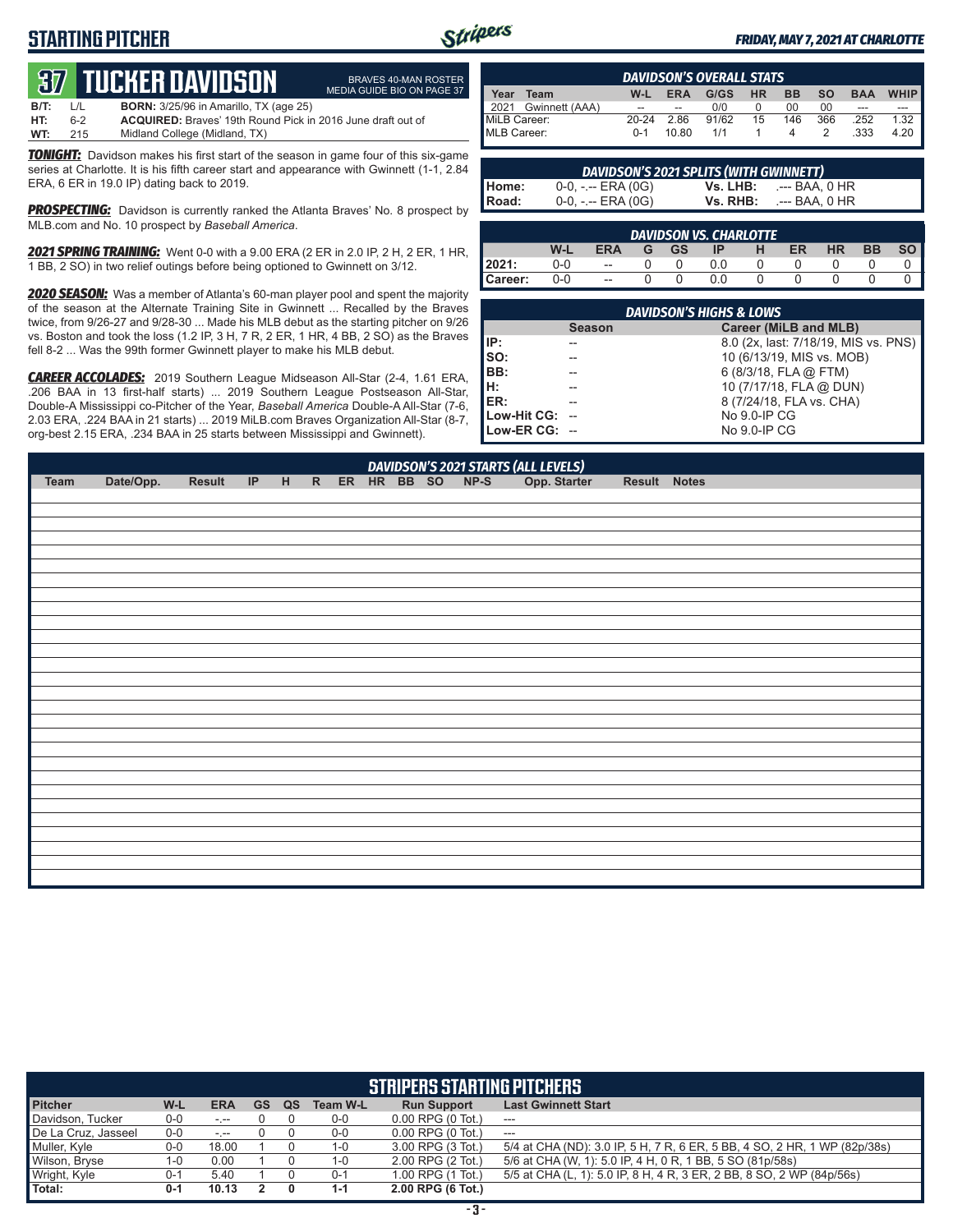## **STARTING PITCHER**



BRAVES 40-MAN ROSTER MEDIA GUIDE BIO ON PAGE 37

#### *FRIDAY, MAY 7, 2021 AT CHARLOTTE*

# **37****TUCKER DAVIDSON**

| B/T: | L/L | <b>BORN:</b> 3/25/96 in Amarillo, TX (age 25)                      |
|------|-----|--------------------------------------------------------------------|
| HT:  | հ-2 | <b>ACQUIRED:</b> Braves' 19th Round Pick in 2016 June draft out of |
| WT:  | 215 | Midland College (Midland, TX)                                      |

*TONIGHT:* Davidson makes his first start of the season in game four of this six-game series at Charlotte. It is his fifth career start and appearance with Gwinnett (1-1, 2.84 ERA, 6 ER in 19.0 IP) dating back to 2019.

**PROSPECTING:** Davidson is currently ranked the Atlanta Braves' No. 8 prospect by MLB.com and No. 10 prospect by *Baseball America*.

*2021 SPRING TRAINING:* Went 0-0 with a 9.00 ERA (2 ER in 2.0 IP, 2 H, 2 ER, 1 HR, 1 BB, 2 SO) in two relief outings before being optioned to Gwinnett on 3/12.

*2020 SEASON:* Was a member of Atlanta's 60-man player pool and spent the majority of the season at the Alternate Training Site in Gwinnett ... Recalled by the Braves twice, from 9/26-27 and 9/28-30 ... Made his MLB debut as the starting pitcher on 9/26 vs. Boston and took the loss (1.2 IP, 3 H, 7 R, 2 ER, 1 HR, 4 BB, 2 SO) as the Braves fell 8-2 ... Was the 99th former Gwinnett player to make his MLB debut.

*CAREER ACCOLADES:* 2019 Southern League Midseason All-Star (2-4, 1.61 ERA, .206 BAA in 13 first-half starts) ... 2019 Southern League Postseason All-Star, Double-A Mississippi co-Pitcher of the Year, *Baseball America* Double-A All-Star (7-6, 2.03 ERA, .224 BAA in 21 starts) ... 2019 MiLB.com Braves Organization All-Star (8-7, org-best 2.15 ERA, .234 BAA in 25 starts between Mississippi and Gwinnett).

|              | <b>DAVIDSON'S OVERALL STATS</b> |           |            |       |           |           |           |            |             |
|--------------|---------------------------------|-----------|------------|-------|-----------|-----------|-----------|------------|-------------|
| Year         | Team                            | W-L       | <b>ERA</b> | G/GS  | <b>HR</b> | <b>BB</b> | <b>SO</b> | <b>BAA</b> | <b>WHIP</b> |
|              | 2021 Gwinnett (AAA)             | --        | --         | 0/0   |           | 00        | 00        | ---        |             |
| MiLB Career: |                                 | $20 - 24$ | 2.86       | 91/62 | 15        | 146       | 366       | 252        | 1.32        |
| MLB Career:  |                                 | $0 - 1$   | 10.80      | 1/1   |           |           |           | .333       | 4.20        |

|       | <b>DAVIDSON'S 2021 SPLITS (WITH GWINNETT)</b> |          |                |
|-------|-----------------------------------------------|----------|----------------|
| Home: | $0-0, - -$ ERA $(0G)$                         | Vs. LHB: | .--- BAA. 0 HR |
| Road: | $0-0, - -$ ERA $(0G)$                         | Vs. RHB: | .--- BAA. 0 HR |

|         |     |            |   |           | <b>DAVIDSON VS. CHARLOTTE</b> |   |    |           |           |  |
|---------|-----|------------|---|-----------|-------------------------------|---|----|-----------|-----------|--|
|         | W-l | <b>ERA</b> | G | <b>GS</b> | IP                            | н | ER | <b>HR</b> | <b>BB</b> |  |
| 2021:   | 0-0 | $- -$      |   |           | 0.0                           |   |    |           |           |  |
| Career: | 0-0 | $-$        |   |           | 0.0                           |   |    |           |           |  |

|                | <b>DAVIDSON'S HIGHS &amp; LOWS</b> |                                      |
|----------------|------------------------------------|--------------------------------------|
|                | <b>Season</b>                      | Career (MiLB and MLB)                |
| IIP:           |                                    | 8.0 (2x, last: 7/18/19, MIS vs. PNS) |
| so:            |                                    | 10 (6/13/19, MIS vs. MOB)            |
| BB:            |                                    | 6 (8/3/18, FLA @ FTM)                |
| Iн:            |                                    | 10 (7/17/18, FLA @ DUN)              |
| IER:           |                                    | 8 (7/24/18, FLA vs. CHA)             |
| Low-Hit CG: -- |                                    | No 9.0-IP CG                         |
| Low-ER CG: --  |                                    | No 9.0-IP CG                         |

| DAVIDSON'S 2021 STARTS (ALL LEVELS)<br>IP H R ER HR BB SO NP-S Opp. Starter<br>Date/Opp.<br>Result<br>Result Notes<br><b>Team</b> |  |  |  |  |  |  |  |
|-----------------------------------------------------------------------------------------------------------------------------------|--|--|--|--|--|--|--|
|                                                                                                                                   |  |  |  |  |  |  |  |
|                                                                                                                                   |  |  |  |  |  |  |  |
|                                                                                                                                   |  |  |  |  |  |  |  |
|                                                                                                                                   |  |  |  |  |  |  |  |
|                                                                                                                                   |  |  |  |  |  |  |  |
|                                                                                                                                   |  |  |  |  |  |  |  |
|                                                                                                                                   |  |  |  |  |  |  |  |
|                                                                                                                                   |  |  |  |  |  |  |  |
|                                                                                                                                   |  |  |  |  |  |  |  |
|                                                                                                                                   |  |  |  |  |  |  |  |
|                                                                                                                                   |  |  |  |  |  |  |  |
|                                                                                                                                   |  |  |  |  |  |  |  |
|                                                                                                                                   |  |  |  |  |  |  |  |
|                                                                                                                                   |  |  |  |  |  |  |  |
|                                                                                                                                   |  |  |  |  |  |  |  |
|                                                                                                                                   |  |  |  |  |  |  |  |
|                                                                                                                                   |  |  |  |  |  |  |  |
|                                                                                                                                   |  |  |  |  |  |  |  |
|                                                                                                                                   |  |  |  |  |  |  |  |
|                                                                                                                                   |  |  |  |  |  |  |  |
|                                                                                                                                   |  |  |  |  |  |  |  |
|                                                                                                                                   |  |  |  |  |  |  |  |
|                                                                                                                                   |  |  |  |  |  |  |  |
|                                                                                                                                   |  |  |  |  |  |  |  |
|                                                                                                                                   |  |  |  |  |  |  |  |
|                                                                                                                                   |  |  |  |  |  |  |  |
|                                                                                                                                   |  |  |  |  |  |  |  |
|                                                                                                                                   |  |  |  |  |  |  |  |
|                                                                                                                                   |  |  |  |  |  |  |  |
|                                                                                                                                   |  |  |  |  |  |  |  |

|                     |         |            |           |    |                 | <b>STRIPERS STARTING PITCHERS</b> |                                                                           |
|---------------------|---------|------------|-----------|----|-----------------|-----------------------------------|---------------------------------------------------------------------------|
| <b>Pitcher</b>      | W-L     | <b>ERA</b> | <b>GS</b> | QS | <b>Team W-L</b> | <b>Run Support</b>                | <b>Last Gwinnett Start</b>                                                |
| Davidson, Tucker    | $0-0$   | $\sim$     |           |    | $0-0$           | $0.00$ RPG $(0$ Tot.)             | ---                                                                       |
| De La Cruz, Jasseel | $0 - 0$ | $-1 - 1$   |           |    | $0-0$           | $0.00$ RPG $(0$ Tot.)             | $-$                                                                       |
| Muller, Kyle        | 0-0     | 18.00      |           |    | 1-0             | 3.00 RPG (3 Tot.)                 | 5/4 at CHA (ND): 3.0 IP, 5 H, 7 R, 6 ER, 5 BB, 4 SO, 2 HR, 1 WP (82p/38s) |
| Wilson, Bryse       | 1-0     | 0.00       |           |    | 1-0             | 2.00 RPG (2 Tot.)                 | 5/6 at CHA (W, 1): 5.0 IP, 4 H, 0 R, 1 BB, 5 SO (81p/58s)                 |
| Wright, Kyle        | $0 - 1$ | 5.40       |           |    | $0 - 1$         | 1.00 RPG (1 Tot.)                 | 5/5 at CHA (L, 1): 5.0 IP, 8 H, 4 R, 3 ER, 2 BB, 8 SO, 2 WP (84p/56s)     |
| <b>Total:</b>       | $0 - 1$ | 10.13      |           |    | $1 - 1$         | 2.00 RPG (6 Tot.)                 |                                                                           |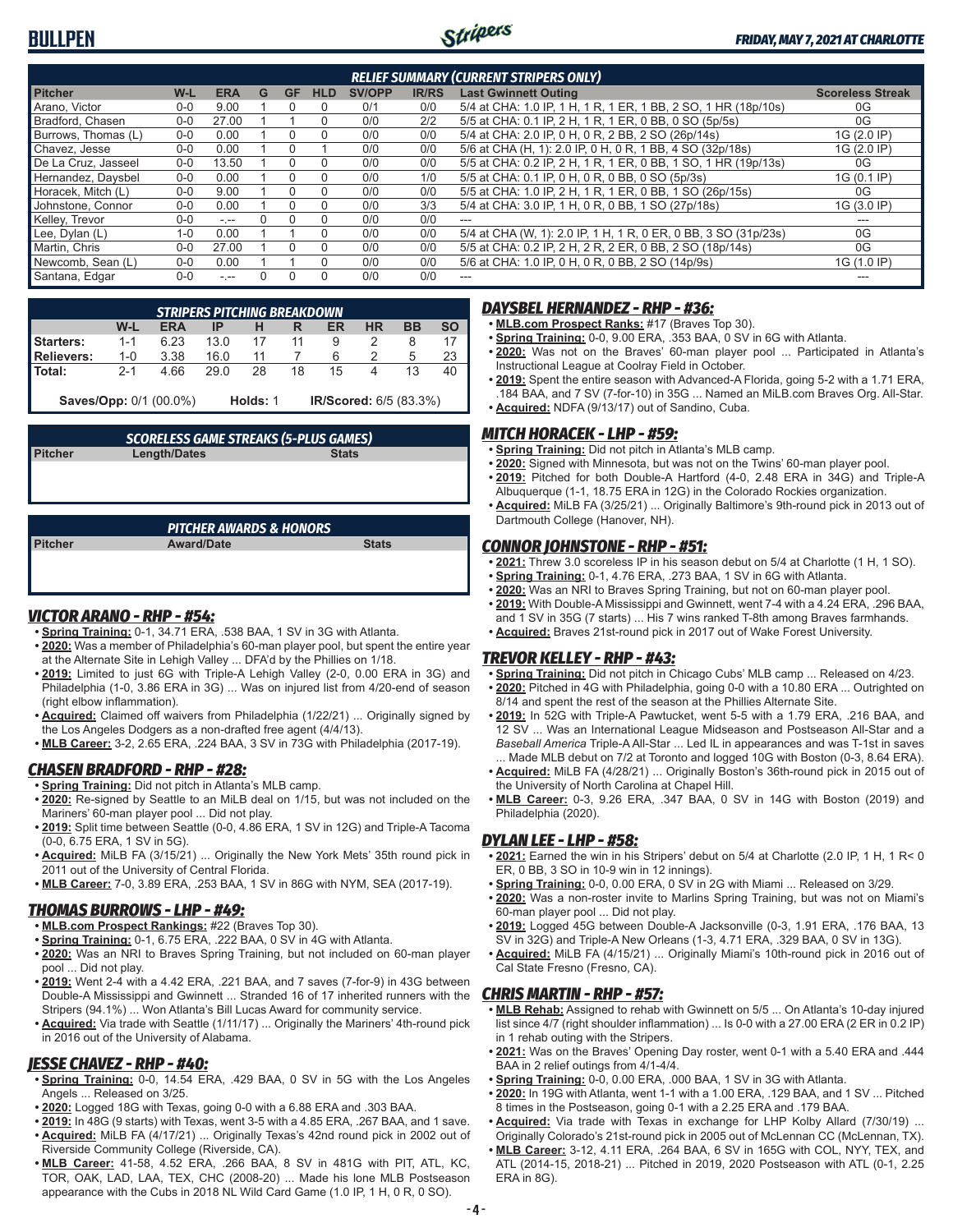

|                     |         |            |   |              |              |               |              | <b>RELIEF SUMMARY (CURRENT STRIPERS ONLY)</b>                   |                         |
|---------------------|---------|------------|---|--------------|--------------|---------------|--------------|-----------------------------------------------------------------|-------------------------|
| <b>Pitcher</b>      | W-L     | <b>ERA</b> | G | <b>GF</b>    | <b>HLD</b>   | <b>SV/OPP</b> | <b>IR/RS</b> | <b>Last Gwinnett Outing</b>                                     | <b>Scoreless Streak</b> |
| Arano, Victor       | $0 - 0$ | 9.00       |   |              | 0            | 0/1           | 0/0          | 5/4 at CHA: 1.0 IP, 1 H, 1 R, 1 ER, 1 BB, 2 SO, 1 HR (18p/10s)  | 0G                      |
| Bradford, Chasen    | $0 - 0$ | 27.00      |   |              | 0            | 0/0           | 2/2          | 5/5 at CHA: 0.1 IP, 2 H, 1 R, 1 ER, 0 BB, 0 SO (5p/5s)          | 0G                      |
| Burrows, Thomas (L) | $0 - 0$ | 0.00       |   |              | $\Omega$     | 0/0           | 0/0          | 5/4 at CHA: 2.0 IP, 0 H, 0 R, 2 BB, 2 SO (26p/14s)              | 1G (2.0 IP)             |
| Chavez. Jesse       | $0 - 0$ | 0.00       |   |              |              | 0/0           | 0/0          | 5/6 at CHA (H, 1): 2.0 IP, 0 H, 0 R, 1 BB, 4 SO (32p/18s)       | 1G (2.0 IP)             |
| De La Cruz. Jasseel | $0 - 0$ | 13.50      |   |              | <sup>0</sup> | 0/0           | 0/0          | 5/5 at CHA: 0.2 IP, 2 H, 1 R, 1 ER, 0 BB, 1 SO, 1 HR (19p/13s)  | 0G                      |
| Hernandez, Daysbel  | $0 - 0$ | 0.00       |   |              | $\Omega$     | 0/0           | 1/0          | 5/5 at CHA: 0.1 IP, 0 H, 0 R, 0 BB, 0 SO (5p/3s)                | 1G (0.1 IP)             |
| Horacek, Mitch (L)  | $0 - 0$ | 9.00       |   | $\mathbf{U}$ | 0            | 0/0           | 0/0          | 5/5 at CHA: 1.0 IP, 2 H, 1 R, 1 ER, 0 BB, 1 SO (26p/15s)        | 0G                      |
| Johnstone, Connor   | $0 - 0$ | 0.00       |   |              | $\Omega$     | 0/0           | 3/3          | 5/4 at CHA: 3.0 IP, 1 H, 0 R, 0 BB, 1 SO (27p/18s)              | 1G (3.0 IP)             |
| Kellev. Trevor      | $0 - 0$ | $-1 - 1$   |   |              | 0            | 0/0           | 0/0          | $---$                                                           | ---                     |
| Lee, Dylan (L)      | $1 - 0$ | 0.00       |   |              | $\Omega$     | 0/0           | 0/0          | 5/4 at CHA (W, 1): 2.0 IP, 1 H, 1 R, 0 ER, 0 BB, 3 SO (31p/23s) | 0G                      |
| Martin, Chris       | $0 - 0$ | 27.00      |   |              | 0            | 0/0           | 0/0          | 5/5 at CHA: 0.2 IP, 2 H, 2 R, 2 ER, 0 BB, 2 SO (18p/14s)        | 0G                      |
| Newcomb, Sean (L)   | $0 - 0$ | 0.00       |   |              | $\Omega$     | 0/0           | 0/0          | 5/6 at CHA: 1.0 IP, 0 H, 0 R, 0 BB, 2 SO (14p/9s)               | 1G (1.0 IP)             |
| Santana, Edgar      | $0 - 0$ | $\cdots$   |   |              | 0            | 0/0           | 0/0          | ---                                                             |                         |

|                  |         | STRIPERS PITCHING BREAKDOWN   |      |          |    |                        |    |    |           |
|------------------|---------|-------------------------------|------|----------|----|------------------------|----|----|-----------|
|                  | W-L     | <b>ERA</b>                    | IP   |          |    | ER                     | ΗR | BB | <b>SO</b> |
| <b>Starters:</b> | $1 - 1$ | 6.23                          |      |          | 11 | 9                      |    | 8  |           |
| Relievers:       | $1 - 0$ | 3.38                          | 16.0 |          |    | 6                      |    | b  | 23        |
| Total:           | $2 - 1$ | 4.66                          | 29 O | 28       | 18 | 15                     |    | 13 | 40        |
|                  |         | <b>Saves/Opp: 0/1 (00.0%)</b> |      | Holds: 1 |    | IR/Scored: 6/5 (83.3%) |    |    |           |

| <b>SCORELESS GAME STREAKS (5-PLUS GAMES)</b> |       |
|----------------------------------------------|-------|
| Longth/Datos                                 | State |

**Pitcher Length/Dates Stats**

|                | PITCHER AWARDS & HONORS |              |
|----------------|-------------------------|--------------|
| <b>Pitcher</b> | <b>Award/Date</b>       | <b>Stats</b> |
|                |                         |              |
|                |                         |              |
|                |                         |              |

#### *VICTOR ARANO - RHP - #54:*

- **• Spring Training:** 0-1, 34.71 ERA, .538 BAA, 1 SV in 3G with Atlanta.
- **• 2020:** Was a member of Philadelphia's 60-man player pool, but spent the entire year at the Alternate Site in Lehigh Valley ... DFA'd by the Phillies on 1/18.
- **• 2019:** Limited to just 6G with Triple-A Lehigh Valley (2-0, 0.00 ERA in 3G) and Philadelphia (1-0, 3.86 ERA in 3G) ... Was on injured list from 4/20-end of season (right elbow inflammation).
- **• Acquired:** Claimed off waivers from Philadelphia (1/22/21) ... Originally signed by the Los Angeles Dodgers as a non-drafted free agent (4/4/13).
- **• MLB Career:** 3-2, 2.65 ERA, .224 BAA, 3 SV in 73G with Philadelphia (2017-19).

#### *CHASEN BRADFORD - RHP - #28:*

- **• Spring Training:** Did not pitch in Atlanta's MLB camp.
- **• 2020:** Re-signed by Seattle to an MiLB deal on 1/15, but was not included on the Mariners' 60-man player pool ... Did not play.
- **• 2019:** Split time between Seattle (0-0, 4.86 ERA, 1 SV in 12G) and Triple-A Tacoma (0-0, 6.75 ERA, 1 SV in 5G).
- **• Acquired:** MiLB FA (3/15/21) ... Originally the New York Mets' 35th round pick in 2011 out of the University of Central Florida.
- **• MLB Career:** 7-0, 3.89 ERA, .253 BAA, 1 SV in 86G with NYM, SEA (2017-19).

### *THOMAS BURROWS - LHP - #49:*

- **• MLB.com Prospect Rankings:** #22 (Braves Top 30).
- **• Spring Training:** 0-1, 6.75 ERA, .222 BAA, 0 SV in 4G with Atlanta.
- **• 2020:** Was an NRI to Braves Spring Training, but not included on 60-man player pool ... Did not play.
- **• 2019:** Went 2-4 with a 4.42 ERA, .221 BAA, and 7 saves (7-for-9) in 43G between Double-A Mississippi and Gwinnett ... Stranded 16 of 17 inherited runners with the Stripers (94.1%) ... Won Atlanta's Bill Lucas Award for community service.
- **• Acquired:** Via trade with Seattle (1/11/17) ... Originally the Mariners' 4th-round pick in 2016 out of the University of Alabama.

#### *JESSE CHAVEZ - RHP - #40:*

- **• Spring Training:** 0-0, 14.54 ERA, .429 BAA, 0 SV in 5G with the Los Angeles Angels ... Released on 3/25.
- **• 2020:** Logged 18G with Texas, going 0-0 with a 6.88 ERA and .303 BAA.
- **• 2019:** In 48G (9 starts) with Texas, went 3-5 with a 4.85 ERA, .267 BAA, and 1 save. **• Acquired:** MiLB FA (4/17/21) ... Originally Texas's 42nd round pick in 2002 out of Riverside Community College (Riverside, CA).
- **• MLB Career:** 41-58, 4.52 ERA, .266 BAA, 8 SV in 481G with PIT, ATL, KC, TOR, OAK, LAD, LAA, TEX, CHC (2008-20) ... Made his lone MLB Postseason appearance with the Cubs in 2018 NL Wild Card Game (1.0 IP, 1 H, 0 R, 0 SO).

#### *DAYSBEL HERNANDEZ - RHP - #36:*

- **• MLB.com Prospect Ranks:** #17 (Braves Top 30).
- **• Spring Training:** 0-0, 9.00 ERA, .353 BAA, 0 SV in 6G with Atlanta.
- **• 2020:** Was not on the Braves' 60-man player pool ... Participated in Atlanta's Instructional League at Coolray Field in October.
- **• 2019:** Spent the entire season with Advanced-A Florida, going 5-2 with a 1.71 ERA, .184 BAA, and 7 SV (7-for-10) in 35G ... Named an MiLB.com Braves Org. All-Star. **• Acquired:** NDFA (9/13/17) out of Sandino, Cuba.

### *MITCH HORACEK - LHP - #59:*

- **• Spring Training:** Did not pitch in Atlanta's MLB camp.
- **• 2020:** Signed with Minnesota, but was not on the Twins' 60-man player pool.
- **• 2019:** Pitched for both Double-A Hartford (4-0, 2.48 ERA in 34G) and Triple-A Albuquerque (1-1, 18.75 ERA in 12G) in the Colorado Rockies organization.
- **• Acquired:** MiLB FA (3/25/21) ... Originally Baltimore's 9th-round pick in 2013 out of Dartmouth College (Hanover, NH).

## *CONNOR JOHNSTONE - RHP - #51:*

- **• 2021:** Threw 3.0 scoreless IP in his season debut on 5/4 at Charlotte (1 H, 1 SO).
- **• Spring Training:** 0-1, 4.76 ERA, .273 BAA, 1 SV in 6G with Atlanta.
- **• 2020:** Was an NRI to Braves Spring Training, but not on 60-man player pool.
- **• 2019:** With Double-A Mississippi and Gwinnett, went 7-4 with a 4.24 ERA, .296 BAA, and 1 SV in 35G (7 starts) ... His 7 wins ranked T-8th among Braves farmhands.
- **• Acquired:** Braves 21st-round pick in 2017 out of Wake Forest University.

### *TREVOR KELLEY - RHP - #43:*

- **• Spring Training:** Did not pitch in Chicago Cubs' MLB camp ... Released on 4/23.
- **• 2020:** Pitched in 4G with Philadelphia, going 0-0 with a 10.80 ERA ... Outrighted on 8/14 and spent the rest of the season at the Phillies Alternate Site.
- **• 2019:** In 52G with Triple-A Pawtucket, went 5-5 with a 1.79 ERA, .216 BAA, and 12 SV ... Was an International League Midseason and Postseason All-Star and a *Baseball America* Triple-A All-Star ... Led IL in appearances and was T-1st in saves ... Made MLB debut on 7/2 at Toronto and logged 10G with Boston (0-3, 8.64 ERA).
- **• Acquired:** MiLB FA (4/28/21) ... Originally Boston's 36th-round pick in 2015 out of the University of North Carolina at Chapel Hill.
- **• MLB Career:** 0-3, 9.26 ERA, .347 BAA, 0 SV in 14G with Boston (2019) and Philadelphia (2020).

### *DYLAN LEE - LHP - #58:*

- **• 2021:** Earned the win in his Stripers' debut on 5/4 at Charlotte (2.0 IP, 1 H, 1 R< 0 ER, 0 BB, 3 SO in 10-9 win in 12 innings).
- **• Spring Training:** 0-0, 0.00 ERA, 0 SV in 2G with Miami ... Released on 3/29.
- **• 2020:** Was a non-roster invite to Marlins Spring Training, but was not on Miami's 60-man player pool ... Did not play.
- **• 2019:** Logged 45G between Double-A Jacksonville (0-3, 1.91 ERA, .176 BAA, 13 SV in 32G) and Triple-A New Orleans (1-3, 4.71 ERA, .329 BAA, 0 SV in 13G).
- **• Acquired:** MiLB FA (4/15/21) ... Originally Miami's 10th-round pick in 2016 out of Cal State Fresno (Fresno, CA).

#### *CHRIS MARTIN - RHP - #57:*

- **• MLB Rehab:** Assigned to rehab with Gwinnett on 5/5 ... On Atlanta's 10-day injured list since 4/7 (right shoulder inflammation) ... Is 0-0 with a 27.00 ERA (2 ER in 0.2 IP) in 1 rehab outing with the Stripers.
- **• 2021:** Was on the Braves' Opening Day roster, went 0-1 with a 5.40 ERA and .444 BAA in 2 relief outings from 4/1-4/4.
- **• Spring Training:** 0-0, 0.00 ERA, .000 BAA, 1 SV in 3G with Atlanta.
- **• 2020:** In 19G with Atlanta, went 1-1 with a 1.00 ERA, .129 BAA, and 1 SV ... Pitched 8 times in the Postseason, going 0-1 with a 2.25 ERA and .179 BAA.
- **• Acquired:** Via trade with Texas in exchange for LHP Kolby Allard (7/30/19) ... Originally Colorado's 21st-round pick in 2005 out of McLennan CC (McLennan, TX).
- **• MLB Career:** 3-12, 4.11 ERA, .264 BAA, 6 SV in 165G with COL, NYY, TEX, and ATL (2014-15, 2018-21) ... Pitched in 2019, 2020 Postseason with ATL (0-1, 2.25 ERA in 8G).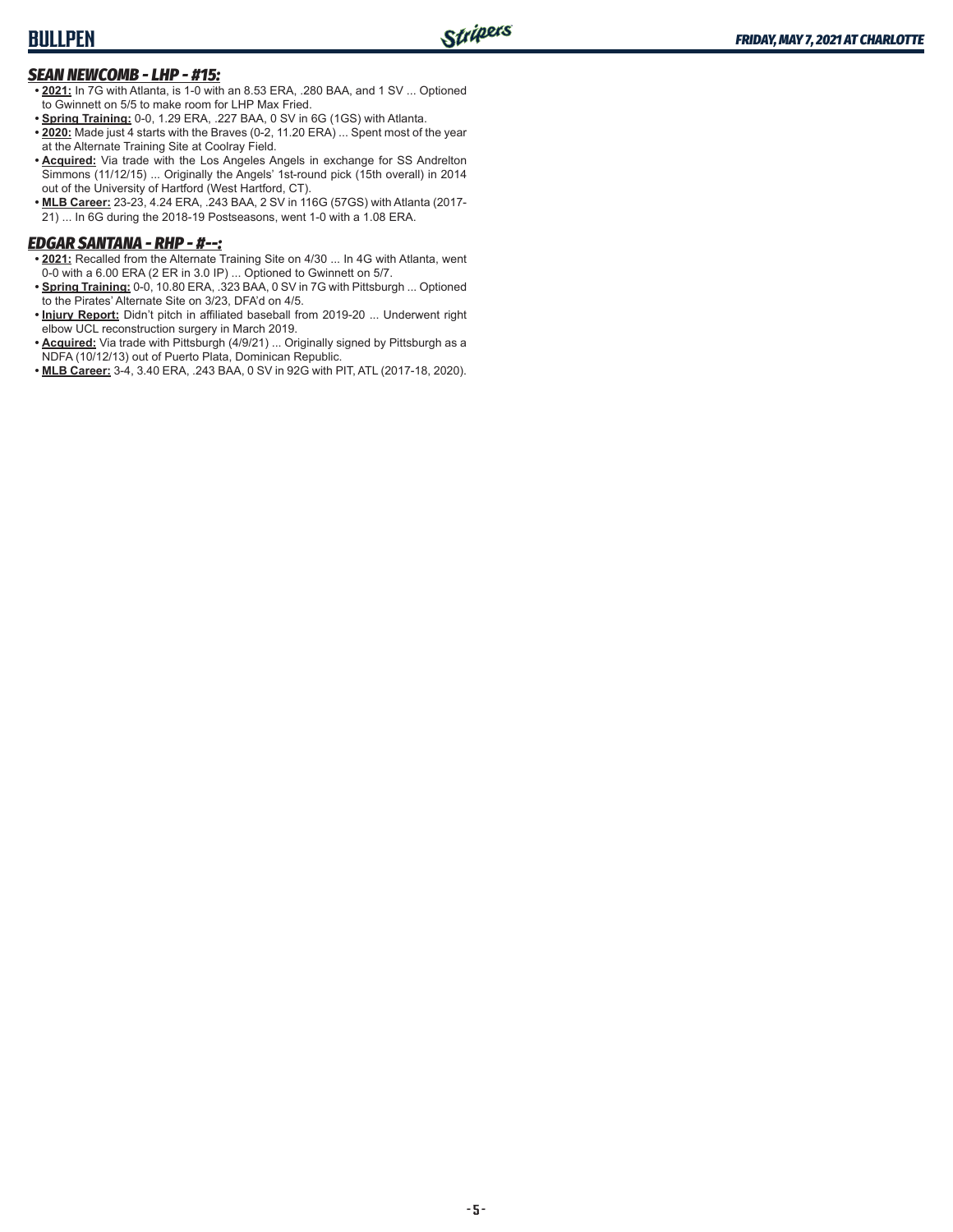## **BULLPEN**

### *SEAN NEWCOMB - LHP - #15:*

- **• 2021:** In 7G with Atlanta, is 1-0 with an 8.53 ERA, .280 BAA, and 1 SV ... Optioned to Gwinnett on 5/5 to make room for LHP Max Fried.
- **• Spring Training:** 0-0, 1.29 ERA, .227 BAA, 0 SV in 6G (1GS) with Atlanta.
- **• 2020:** Made just 4 starts with the Braves (0-2, 11.20 ERA) ... Spent most of the year at the Alternate Training Site at Coolray Field.
- **• Acquired:** Via trade with the Los Angeles Angels in exchange for SS Andrelton Simmons (11/12/15) ... Originally the Angels' 1st-round pick (15th overall) in 2014 out of the University of Hartford (West Hartford, CT).
- **MLB Career:** 23-23, 4.24 ERA, .243 BAA, 2 SV in 116G (57GS) with Atlanta (2017-21) ... In 6G during the 2018-19 Postseasons, went 1-0 with a 1.08 ERA.

### *EDGAR SANTANA - RHP - #--:*

- **• 2021:** Recalled from the Alternate Training Site on 4/30 ... In 4G with Atlanta, went 0-0 with a 6.00 ERA (2 ER in 3.0 IP) ... Optioned to Gwinnett on 5/7.
- **• Spring Training:** 0-0, 10.80 ERA, .323 BAA, 0 SV in 7G with Pittsburgh ... Optioned to the Pirates' Alternate Site on 3/23, DFA'd on 4/5.
- **• Injury Report:** Didn't pitch in affiliated baseball from 2019-20 ... Underwent right elbow UCL reconstruction surgery in March 2019.
- **• Acquired:** Via trade with Pittsburgh (4/9/21) ... Originally signed by Pittsburgh as a NDFA (10/12/13) out of Puerto Plata, Dominican Republic.
- **• MLB Career:** 3-4, 3.40 ERA, .243 BAA, 0 SV in 92G with PIT, ATL (2017-18, 2020).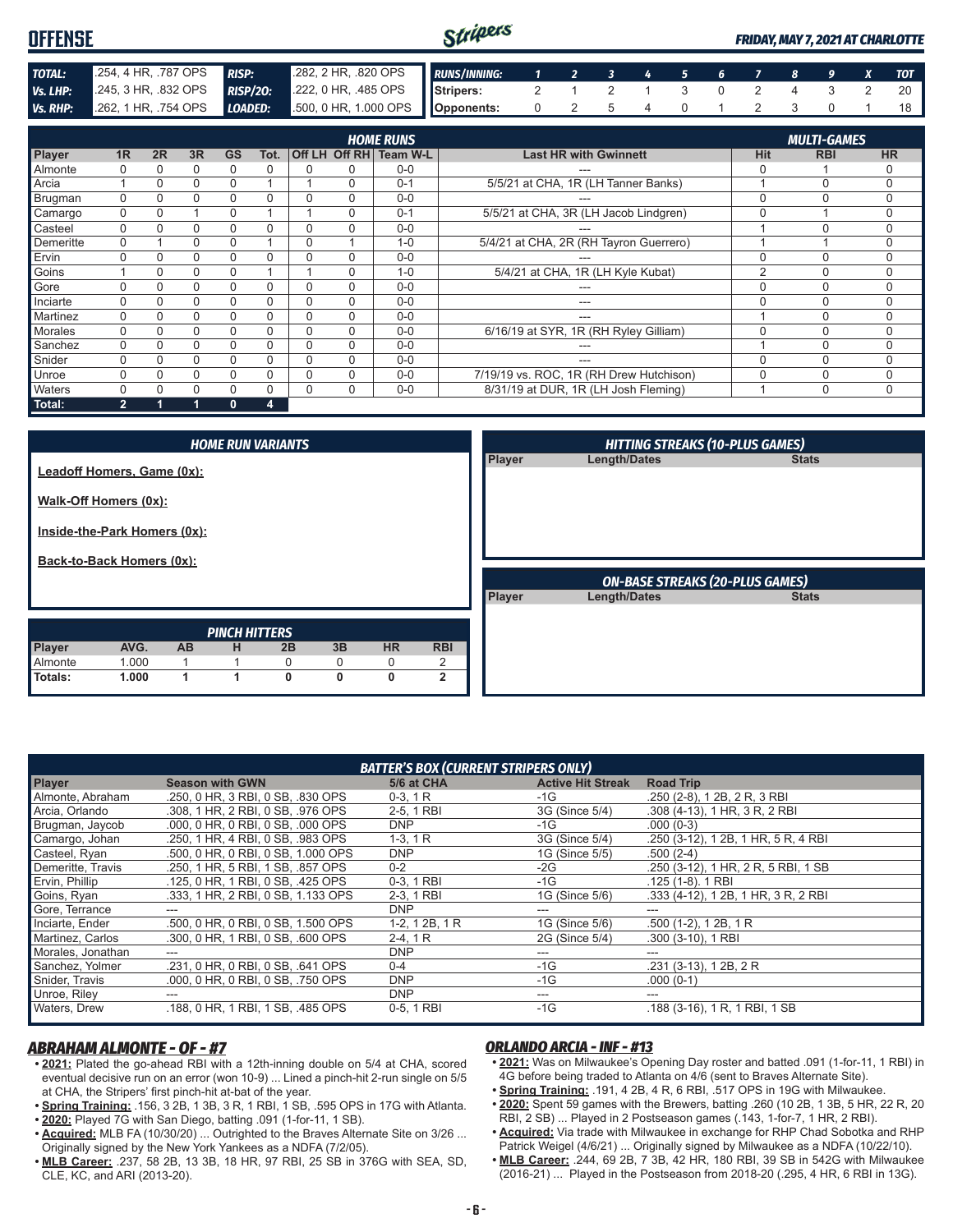| <b>OFFENSE</b>  |                      |    |    |                |                 |               |                       |                  | Stripers            |                                       |                |                              |   |   |   |               |   |                    |   | <b>FRIDAY, MAY 7, 2021 AT CHARLOTTE</b> |
|-----------------|----------------------|----|----|----------------|-----------------|---------------|-----------------------|------------------|---------------------|---------------------------------------|----------------|------------------------------|---|---|---|---------------|---|--------------------|---|-----------------------------------------|
| TOTAL:          | .254, 4 HR, .787 OPS |    |    | <b>RISP:</b>   |                 |               | .282, 2 HR, .820 OPS  |                  | <b>RUNS/INNING:</b> |                                       | $\overline{2}$ | 3                            | 4 | 5 | 6 |               | 8 | . 9                |   | <b>TOT</b>                              |
| Vs. LHP:        | .245, 3 HR, .832 OPS |    |    |                | <b>RISP/20:</b> |               | 222, 0 HR, .485 OPS   |                  | Stripers:           | 2                                     |                | $\mathcal{P}$                |   | 3 |   | $\mathcal{P}$ | 4 | 3                  | 2 | 20                                      |
| <b>Vs. RHP:</b> | .262, 1 HR, .754 OPS |    |    | <b>LOADED:</b> |                 |               | .500, 0 HR, 1.000 OPS |                  | Opponents:          | 0                                     | $\mathfrak{p}$ | 5                            | 4 |   |   |               | 3 |                    |   | 18                                      |
|                 |                      |    |    |                |                 |               |                       | <b>HOME RUNS</b> |                     |                                       |                |                              |   |   |   |               |   | <b>MULTI-GAMES</b> |   |                                         |
| Player          | 1 <sub>R</sub>       | 2R | 3R | <b>GS</b>      | Tot.            | <b>Off LH</b> | Off RH                | <b>Team W-L</b>  |                     |                                       |                | <b>Last HR with Gwinnett</b> |   |   |   | <b>Hit</b>    |   | <b>RBI</b>         |   | <b>HR</b>                               |
| Almonte         | 0                    |    | 0  | 0              | $\Omega$        | 0             | 0                     | $0-0$            |                     |                                       | $---$          |                              |   |   |   |               |   |                    |   | 0                                       |
| Arcia           |                      |    |    |                |                 |               | 0                     | $0 - 1$          |                     | 5/5/21 at CHA, 1R (LH Tanner Banks)   |                |                              |   |   |   |               |   | $\Omega$           |   | $\Omega$                                |
| Brugman         | 0                    |    |    | 0              | $\Omega$        | 0             | 0                     | $0 - 0$          |                     |                                       | $---$          |                              |   |   |   |               |   | 0                  |   | $\Omega$                                |
| Camargo         | 0                    |    |    |                |                 |               |                       | $0 - 1$          |                     | 5/5/21 at CHA, 3R (LH Jacob Lindgren) |                |                              |   |   |   |               |   |                    |   |                                         |

Casteel 0 0 0 0 0 0 0 0-0 --- 1 0 0 Demeritte 0 1 0 0 1 0 1 1-0 5/4/21 at CHA, 2R (RH Tayron Guerrero) 1 1 1 0<br>Ervin 0 0 0 0 0 0 0 0 0 0 0 0 mm Ervin 0 0 0 0 0 0 0 0-0 --- 0 0 0 Goins 1 0 0 0 1 1 0 1-0 5/4/21 at CHA, 1R (LH Kyle Kubat) 2 0 0 Gore 0 0 0 0 0 0 0 0-0 --- 0 0 0 Inciarte 0 0 0 0 0 0 0 0-0 --- 0 0 0 Martinez 0 0 0 0 0 0 0 0-0 --- 1 0 0 Morales 0 0 0 0 0 0 0 0 0 0 0 0 6/16/19 at SYR, 1R (RH Ryley Gilliam) 0 0 0 0 0 Sanchez 0 0 0 0 0 0 0 0-0 --- 1 0 0 Snider 0 0 0 0 0 0 0 0-0 --- 0 0 0 Unroe 0 0 0 0 0 0 0 0 0 0 0 7/19/19 vs. ROC, 1R (RH Drew Hutchison) 0 0 0 0 Waters 0 0 0 0 0 0 0 0-0 8/31/19 at DUR, 1R (LH Josh Fleming) 1 0 0

| Total:                                                | $\mathbf{2}$               |           | $\mathbf{0}$             | 4              |                |                |                 |        |                                                        |              |
|-------------------------------------------------------|----------------------------|-----------|--------------------------|----------------|----------------|----------------|-----------------|--------|--------------------------------------------------------|--------------|
| Walk-Off Homers (0x):<br>Inside-the-Park Homers (0x): | Leadoff Homers, Game (0x): |           | <b>HOME RUN VARIANTS</b> |                |                |                |                 | Player | <b>HITTING STREAKS (10-PLUS GAMES)</b><br>Length/Dates | <b>Stats</b> |
| Back-to-Back Homers (0x):                             |                            |           |                          |                |                |                |                 |        | <b>ON-BASE STREAKS (20-PLUS GAMES)</b>                 |              |
|                                                       |                            |           | <b>PINCH HITTERS</b>     |                |                |                |                 | Player | Length/Dates                                           | <b>Stats</b> |
| Player<br>Almonte                                     | AVG.<br>1.000              | <b>AB</b> | н<br>и                   | 2B<br>$\Omega$ | 3B<br>$\Omega$ | <b>HR</b><br>0 | <b>RBI</b><br>2 |        |                                                        |              |

|                   |                                    | <b>BATTER'S BOX (CURRENT STRIPERS ONLY)</b> |                          |                                     |
|-------------------|------------------------------------|---------------------------------------------|--------------------------|-------------------------------------|
| <b>Player</b>     | <b>Season with GWN</b>             | 5/6 at CHA                                  | <b>Active Hit Streak</b> | <b>Road Trip</b>                    |
| Almonte, Abraham  | .250, 0 HR, 3 RBI, 0 SB, .830 OPS  | $0-3, 1R$                                   | -1G                      | .250 (2-8), 1 2B, 2 R, 3 RBI        |
| Arcia, Orlando    | .308. 1 HR. 2 RBI. 0 SB. .976 OPS  | 2-5, 1 RBI                                  | 3G (Since 5/4)           | .308 (4-13), 1 HR, 3 R, 2 RBI       |
| Brugman, Jaycob   | .000, 0 HR, 0 RBI, 0 SB, .000 OPS  | <b>DNP</b>                                  | $-1G$                    | $.000(0-3)$                         |
| Camargo, Johan    | .250, 1 HR, 4 RBI, 0 SB, .983 OPS  | $1-3, 1R$                                   | 3G (Since 5/4)           | .250 (3-12), 1 2B, 1 HR, 5 R, 4 RBI |
| Casteel, Ryan     | .500, 0 HR, 0 RBI, 0 SB, 1.000 OPS | <b>DNP</b>                                  | 1G (Since 5/5)           | $.500(2-4)$                         |
| Demeritte, Travis | .250, 1 HR, 5 RBI, 1 SB, .857 OPS  | $0 - 2$                                     | $-2G$                    | .250 (3-12), 1 HR, 2 R, 5 RBI, 1 SB |
| Ervin, Phillip    | .125, 0 HR, 1 RBI, 0 SB, .425 OPS  | 0-3, 1 RBI                                  | $-1G$                    | $.125(1-8)$ . 1 RBI                 |
| Goins, Ryan       | .333, 1 HR, 2 RBI, 0 SB, 1.133 OPS | 2-3, 1 RBI                                  | 1G (Since 5/6)           | .333 (4-12), 1 2B, 1 HR, 3 R, 2 RBI |
| Gore, Terrance    |                                    | <b>DNP</b>                                  |                          |                                     |
| Inciarte, Ender   | .500, 0 HR, 0 RBI, 0 SB, 1.500 OPS | $1-2, 12B, 1R$                              | 1G (Since 5/6)           | $.500(1-2)$ , 1 2B, 1 R             |
| Martinez, Carlos  | .300, 0 HR, 1 RBI, 0 SB, .600 OPS  | $2-4, 1R$                                   | 2G (Since 5/4)           | $.300(3-10)$ , 1 RBI                |
| Morales, Jonathan |                                    | <b>DNP</b>                                  |                          |                                     |
| Sanchez, Yolmer   | .231, 0 HR, 0 RBI, 0 SB, .641 OPS  | $0 - 4$                                     | $-1G$                    | $.231$ (3-13), 1 2B, 2 R            |
| Snider, Travis    | .000, 0 HR, 0 RBI, 0 SB, .750 OPS  | <b>DNP</b>                                  | $-1G$                    | $.000(0-1)$                         |
| Unroe, Riley      |                                    | <b>DNP</b>                                  | ---                      |                                     |
| Waters, Drew      | .188, 0 HR, 1 RBI, 1 SB, .485 OPS  | 0-5, 1 RBI                                  | $-1G$                    | .188 (3-16), 1 R, 1 RBI, 1 SB       |

#### *ABRAHAM ALMONTE - OF - #7*

**• 2021:** Plated the go-ahead RBI with a 12th-inning double on 5/4 at CHA, scored eventual decisive run on an error (won 10-9) ... Lined a pinch-hit 2-run single on 5/5 at CHA, the Stripers' first pinch-hit at-bat of the year.

**Totals: 1.000 1 1 0 0 0 2**

- **• Spring Training:** .156, 3 2B, 1 3B, 3 R, 1 RBI, 1 SB, .595 OPS in 17G with Atlanta. **• 2020:** Played 7G with San Diego, batting .091 (1-for-11, 1 SB).
- **• Acquired:** MLB FA (10/30/20) ... Outrighted to the Braves Alternate Site on 3/26 ... Originally signed by the New York Yankees as a NDFA (7/2/05).
- **• MLB Career:** .237, 58 2B, 13 3B, 18 HR, 97 RBI, 25 SB in 376G with SEA, SD, CLE, KC, and ARI (2013-20).

#### *ORLANDO ARCIA - INF - #13*

- **• 2021:** Was on Milwaukee's Opening Day roster and batted .091 (1-for-11, 1 RBI) in 4G before being traded to Atlanta on 4/6 (sent to Braves Alternate Site).
- **• Spring Training:** .191, 4 2B, 4 R, 6 RBI, .517 OPS in 19G with Milwaukee.
- **• 2020:** Spent 59 games with the Brewers, batting .260 (10 2B, 1 3B, 5 HR, 22 R, 20 RBI, 2 SB) ... Played in 2 Postseason games (.143, 1-for-7, 1 HR, 2 RBI).
- **• Acquired:** Via trade with Milwaukee in exchange for RHP Chad Sobotka and RHP Patrick Weigel (4/6/21) ... Originally signed by Milwaukee as a NDFA (10/22/10).
- **• MLB Career:** .244, 69 2B, 7 3B, 42 HR, 180 RBI, 39 SB in 542G with Milwaukee (2016-21) ... Played in the Postseason from 2018-20 (.295, 4 HR, 6 RBI in 13G).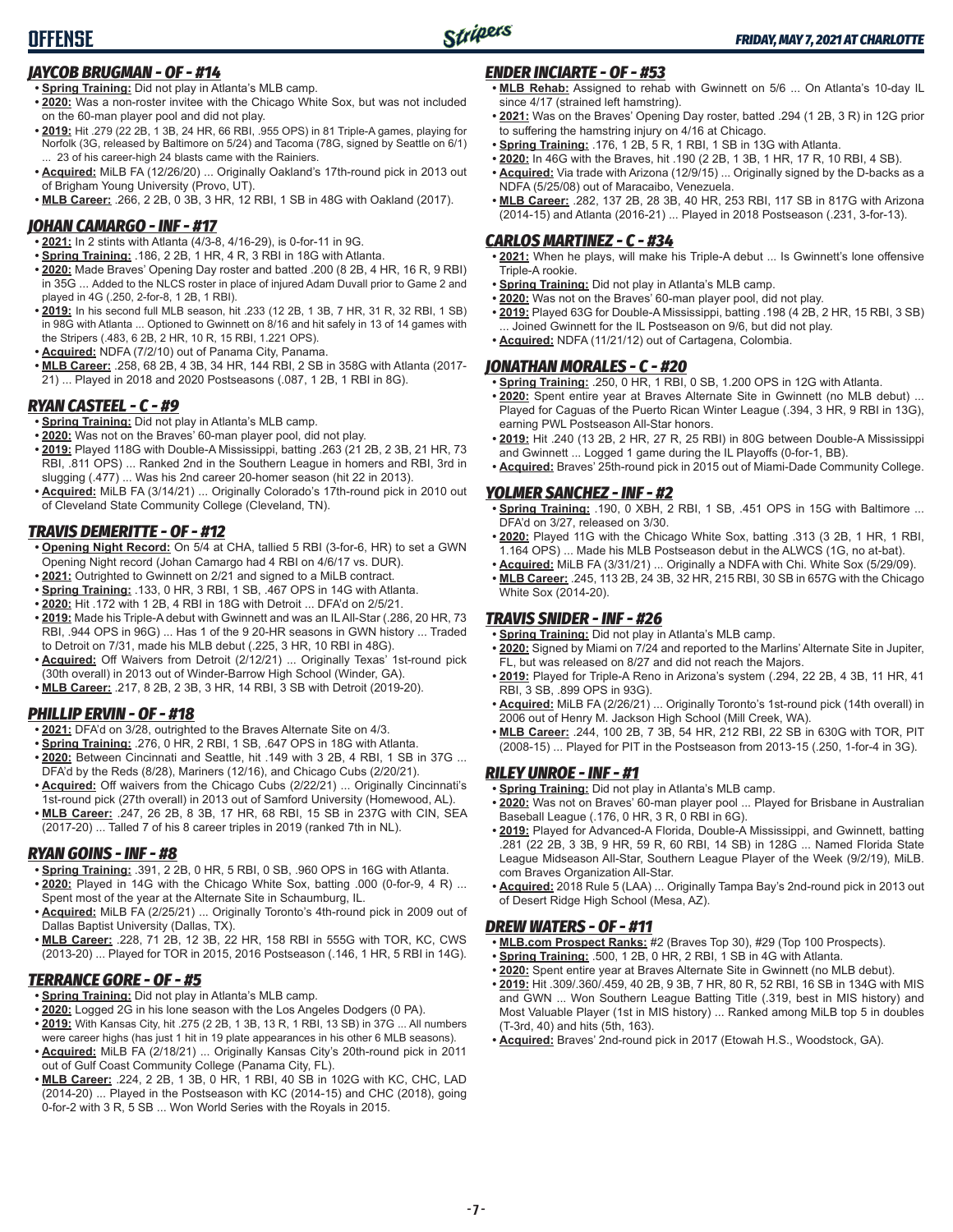### *JAYCOB BRUGMAN - OF - #14*

- **• Spring Training:** Did not play in Atlanta's MLB camp.
- **• 2020:** Was a non-roster invitee with the Chicago White Sox, but was not included on the 60-man player pool and did not play.
- **• 2019:** Hit .279 (22 2B, 1 3B, 24 HR, 66 RBI, .955 OPS) in 81 Triple-A games, playing for Norfolk (3G, released by Baltimore on 5/24) and Tacoma (78G, signed by Seattle on 6/1) 23 of his career-high 24 blasts came with the Rainiers.
- **• Acquired:** MiLB FA (12/26/20) ... Originally Oakland's 17th-round pick in 2013 out of Brigham Young University (Provo, UT).
- **• MLB Career:** .266, 2 2B, 0 3B, 3 HR, 12 RBI, 1 SB in 48G with Oakland (2017).

### *JOHAN CAMARGO - INF - #17*

- **• 2021:** In 2 stints with Atlanta (4/3-8, 4/16-29), is 0-for-11 in 9G.
- **• Spring Training:** .186, 2 2B, 1 HR, 4 R, 3 RBI in 18G with Atlanta.
- **• 2020:** Made Braves' Opening Day roster and batted .200 (8 2B, 4 HR, 16 R, 9 RBI) in 35G ... Added to the NLCS roster in place of injured Adam Duvall prior to Game 2 and played in 4G (.250, 2-for-8, 1 2B, 1 RBI).
- **• 2019:** In his second full MLB season, hit .233 (12 2B, 1 3B, 7 HR, 31 R, 32 RBI, 1 SB) in 98G with Atlanta ... Optioned to Gwinnett on 8/16 and hit safely in 13 of 14 games with the Stripers (.483, 6 2B, 2 HR, 10 R, 15 RBI, 1.221 OPS).
- **• Acquired:** NDFA (7/2/10) out of Panama City, Panama.
- **• MLB Career:** .258, 68 2B, 4 3B, 34 HR, 144 RBI, 2 SB in 358G with Atlanta (2017- 21) ... Played in 2018 and 2020 Postseasons (.087, 1 2B, 1 RBI in 8G).

### *RYAN CASTEEL - C - #9*

- **• Spring Training:** Did not play in Atlanta's MLB camp.
- **• 2020:** Was not on the Braves' 60-man player pool, did not play.
- **• 2019:** Played 118G with Double-A Mississippi, batting .263 (21 2B, 2 3B, 21 HR, 73 RBI, .811 OPS) ... Ranked 2nd in the Southern League in homers and RBI, 3rd in slugging (.477) ... Was his 2nd career 20-homer season (hit 22 in 2013).
- **• Acquired:** MiLB FA (3/14/21) ... Originally Colorado's 17th-round pick in 2010 out of Cleveland State Community College (Cleveland, TN).

### *TRAVIS DEMERITTE - OF - #12*

- **• Opening Night Record:** On 5/4 at CHA, tallied 5 RBI (3-for-6, HR) to set a GWN Opening Night record (Johan Camargo had 4 RBI on 4/6/17 vs. DUR).
- **• 2021:** Outrighted to Gwinnett on 2/21 and signed to a MiLB contract.
- **• Spring Training:** .133, 0 HR, 3 RBI, 1 SB, .467 OPS in 14G with Atlanta.
- **• 2020:** Hit .172 with 1 2B, 4 RBI in 18G with Detroit ... DFA'd on 2/5/21.
- **• 2019:** Made his Triple-A debut with Gwinnett and was an IL All-Star (.286, 20 HR, 73 RBI, .944 OPS in 96G) ... Has 1 of the 9 20-HR seasons in GWN history ... Traded to Detroit on 7/31, made his MLB debut (.225, 3 HR, 10 RBI in 48G).
- **• Acquired:** Off Waivers from Detroit (2/12/21) ... Originally Texas' 1st-round pick (30th overall) in 2013 out of Winder-Barrow High School (Winder, GA).
- **• MLB Career:** .217, 8 2B, 2 3B, 3 HR, 14 RBI, 3 SB with Detroit (2019-20).

### *PHILLIP ERVIN - OF - #18*

- **• 2021:** DFA'd on 3/28, outrighted to the Braves Alternate Site on 4/3.
- **• Spring Training:** .276, 0 HR, 2 RBI, 1 SB, .647 OPS in 18G with Atlanta.
- **• 2020:** Between Cincinnati and Seattle, hit .149 with 3 2B, 4 RBI, 1 SB in 37G ... DFA'd by the Reds (8/28), Mariners (12/16), and Chicago Cubs (2/20/21).
- **• Acquired:** Off waivers from the Chicago Cubs (2/22/21) ... Originally Cincinnati's 1st-round pick (27th overall) in 2013 out of Samford University (Homewood, AL).
- **• MLB Career:** .247, 26 2B, 8 3B, 17 HR, 68 RBI, 15 SB in 237G with CIN, SEA (2017-20) ... Talled 7 of his 8 career triples in 2019 (ranked 7th in NL).

### *RYAN GOINS - INF - #8*

- **• Spring Training:** .391, 2 2B, 0 HR, 5 RBI, 0 SB, .960 OPS in 16G with Atlanta. **• 2020:** Played in 14G with the Chicago White Sox, batting .000 (0-for-9, 4 R) ... Spent most of the year at the Alternate Site in Schaumburg, IL.
- **• Acquired:** MiLB FA (2/25/21) ... Originally Toronto's 4th-round pick in 2009 out of Dallas Baptist University (Dallas, TX).
- **• MLB Career:** .228, 71 2B, 12 3B, 22 HR, 158 RBI in 555G with TOR, KC, CWS (2013-20) ... Played for TOR in 2015, 2016 Postseason (.146, 1 HR, 5 RBI in 14G).

### *TERRANCE GORE - OF - #5*

- **• Spring Training:** Did not play in Atlanta's MLB camp.
- **• 2020:** Logged 2G in his lone season with the Los Angeles Dodgers (0 PA).
- **• 2019:** With Kansas City, hit .275 (2 2B, 1 3B, 13 R, 1 RBI, 13 SB) in 37G ... All numbers were career highs (has just 1 hit in 19 plate appearances in his other 6 MLB seasons).
- **• Acquired:** MiLB FA (2/18/21) ... Originally Kansas City's 20th-round pick in 2011 out of Gulf Coast Community College (Panama City, FL).
- **• MLB Career:** .224, 2 2B, 1 3B, 0 HR, 1 RBI, 40 SB in 102G with KC, CHC, LAD (2014-20) ... Played in the Postseason with KC (2014-15) and CHC (2018), going 0-for-2 with 3 R, 5 SB ... Won World Series with the Royals in 2015.

### *ENDER INCIARTE - OF - #53*

- **• MLB Rehab:** Assigned to rehab with Gwinnett on 5/6 ... On Atlanta's 10-day IL since 4/17 (strained left hamstring).
- **• 2021:** Was on the Braves' Opening Day roster, batted .294 (1 2B, 3 R) in 12G prior to suffering the hamstring injury on 4/16 at Chicago.
- **• Spring Training:** .176, 1 2B, 5 R, 1 RBI, 1 SB in 13G with Atlanta.
- **• 2020:** In 46G with the Braves, hit .190 (2 2B, 1 3B, 1 HR, 17 R, 10 RBI, 4 SB).
- **• Acquired:** Via trade with Arizona (12/9/15) ... Originally signed by the D-backs as a NDFA (5/25/08) out of Maracaibo, Venezuela.
- **• MLB Career:** .282, 137 2B, 28 3B, 40 HR, 253 RBI, 117 SB in 817G with Arizona (2014-15) and Atlanta (2016-21) ... Played in 2018 Postseason (.231, 3-for-13).

### *CARLOS MARTINEZ - C - #34*

- **• 2021:** When he plays, will make his Triple-A debut ... Is Gwinnett's lone offensive Triple-A rookie.
- **• Spring Training:** Did not play in Atlanta's MLB camp.
- **• 2020:** Was not on the Braves' 60-man player pool, did not play.
- **• 2019:** Played 63G for Double-A Mississippi, batting .198 (4 2B, 2 HR, 15 RBI, 3 SB) ... Joined Gwinnett for the IL Postseason on 9/6, but did not play.
- **• Acquired:** NDFA (11/21/12) out of Cartagena, Colombia.

### *JONATHAN MORALES - C - #20*

- **• Spring Training:** .250, 0 HR, 1 RBI, 0 SB, 1.200 OPS in 12G with Atlanta.
- **• 2020:** Spent entire year at Braves Alternate Site in Gwinnett (no MLB debut) ... Played for Caguas of the Puerto Rican Winter League (.394, 3 HR, 9 RBI in 13G), earning PWL Postseason All-Star honors.
- **• 2019:** Hit .240 (13 2B, 2 HR, 27 R, 25 RBI) in 80G between Double-A Mississippi and Gwinnett ... Logged 1 game during the IL Playoffs (0-for-1, BB).
- **• Acquired:** Braves' 25th-round pick in 2015 out of Miami-Dade Community College.

### *YOLMER SANCHEZ - INF - #2*

- **• Spring Training:** .190, 0 XBH, 2 RBI, 1 SB, .451 OPS in 15G with Baltimore ... DFA'd on 3/27, released on 3/30.
- **• 2020:** Played 11G with the Chicago White Sox, batting .313 (3 2B, 1 HR, 1 RBI, 1.164 OPS) ... Made his MLB Postseason debut in the ALWCS (1G, no at-bat).
- **• Acquired:** MiLB FA (3/31/21) ... Originally a NDFA with Chi. White Sox (5/29/09).
- **• MLB Career:** .245, 113 2B, 24 3B, 32 HR, 215 RBI, 30 SB in 657G with the Chicago White Sox (2014-20).

### *TRAVIS SNIDER - INF - #26*

- **• Spring Training:** Did not play in Atlanta's MLB camp.
- **• 2020:** Signed by Miami on 7/24 and reported to the Marlins' Alternate Site in Jupiter, FL, but was released on 8/27 and did not reach the Majors.
- **• 2019:** Played for Triple-A Reno in Arizona's system (.294, 22 2B, 4 3B, 11 HR, 41 RBI, 3 SB, .899 OPS in 93G).
- **• Acquired:** MiLB FA (2/26/21) ... Originally Toronto's 1st-round pick (14th overall) in 2006 out of Henry M. Jackson High School (Mill Creek, WA).
- **• MLB Career:** .244, 100 2B, 7 3B, 54 HR, 212 RBI, 22 SB in 630G with TOR, PIT (2008-15) ... Played for PIT in the Postseason from 2013-15 (.250, 1-for-4 in 3G).

### *RILEY UNROE - INF - #1*

- **• Spring Training:** Did not play in Atlanta's MLB camp.
- **• 2020:** Was not on Braves' 60-man player pool ... Played for Brisbane in Australian Baseball League (.176, 0 HR, 3 R, 0 RBI in 6G).
- **• 2019:** Played for Advanced-A Florida, Double-A Mississippi, and Gwinnett, batting .281 (22 2B, 3 3B, 9 HR, 59 R, 60 RBI, 14 SB) in 128G ... Named Florida State League Midseason All-Star, Southern League Player of the Week (9/2/19), MiLB. com Braves Organization All-Star.
- **• Acquired:** 2018 Rule 5 (LAA) ... Originally Tampa Bay's 2nd-round pick in 2013 out of Desert Ridge High School (Mesa, AZ).

#### *DREW WATERS - OF - #11*

- **• MLB.com Prospect Ranks:** #2 (Braves Top 30), #29 (Top 100 Prospects).
- **• Spring Training:** .500, 1 2B, 0 HR, 2 RBI, 1 SB in 4G with Atlanta.
- **• 2020:** Spent entire year at Braves Alternate Site in Gwinnett (no MLB debut).
- **• 2019:** Hit .309/.360/.459, 40 2B, 9 3B, 7 HR, 80 R, 52 RBI, 16 SB in 134G with MIS and GWN ... Won Southern League Batting Title (.319, best in MIS history) and Most Valuable Player (1st in MIS history) ... Ranked among MiLB top 5 in doubles (T-3rd, 40) and hits (5th, 163).
- **• Acquired:** Braves' 2nd-round pick in 2017 (Etowah H.S., Woodstock, GA).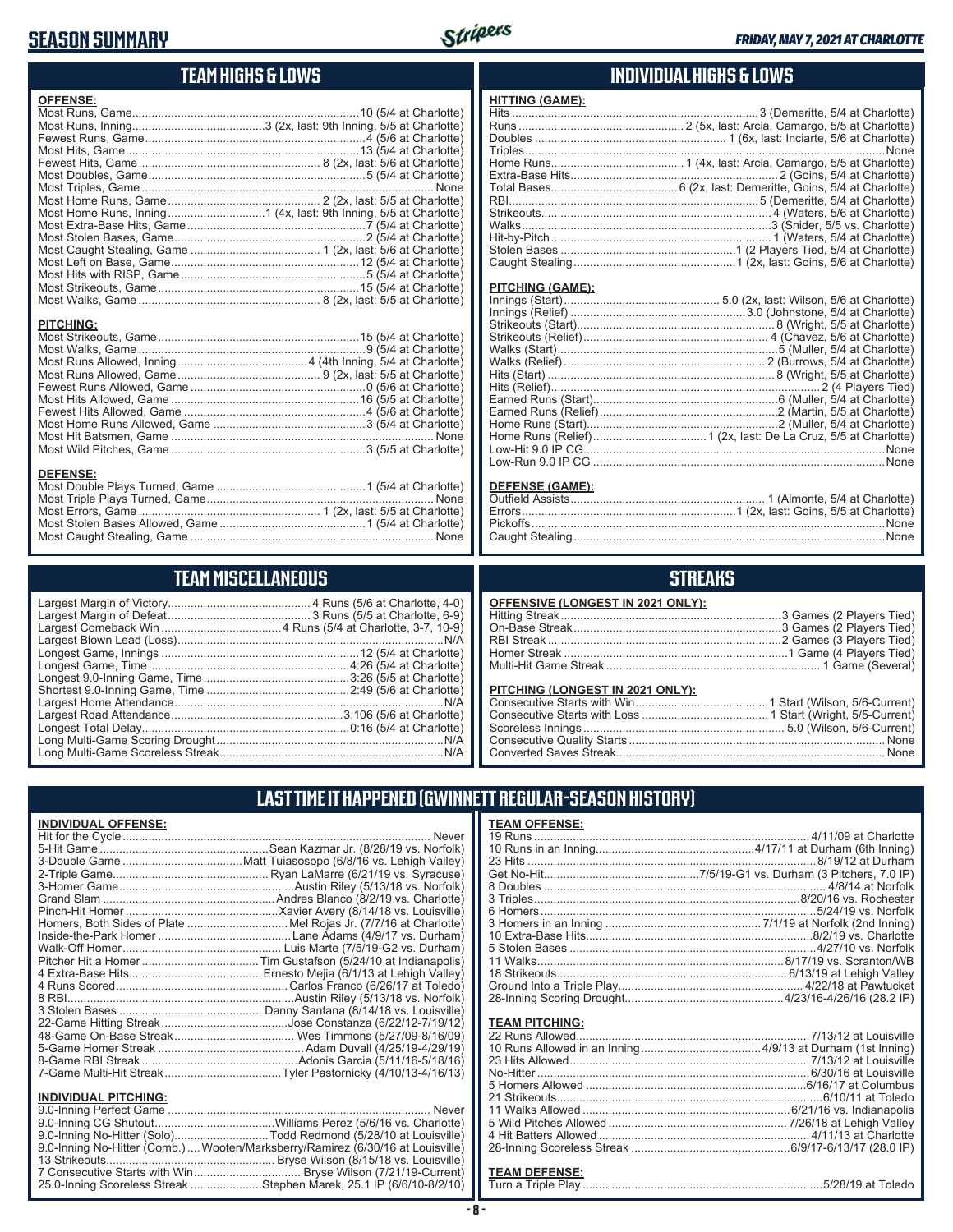## **SEASON SUMMARY**



### **TEAM HIGHS & LOWS**

| <b>OFFENSE:</b>  |
|------------------|
|                  |
|                  |
|                  |
|                  |
|                  |
|                  |
|                  |
|                  |
|                  |
|                  |
|                  |
|                  |
|                  |
|                  |
|                  |
|                  |
| <b>PITCHING:</b> |
| <b>DEFENSE:</b>  |

Most Caught Stealing, Game ........................................................................... None

**TEAM MISCELLANEOUS** Largest Margin of Victory............................................ 4 Runs (5/6 at Charlotte, 4-0) Largest Margin of Defeat ............................................ 3 Runs (5/5 at Charlotte, 6-9) Largest Comeback Win .....................................4 Runs (5/4 at Charlotte, 3-7, 10-9) Largest Blown Lead (Loss) ..................................................................................N/A Longest Game, Innings .............................................................12 (5/4 at Charlotte) Longest Game, Time ..............................................................4:26 (5/4 at Charlotte) Longest 9.0-Inning Game, Time .............................................3:26 (5/5 at Charlotte) Shortest 9.0-Inning Game, Time ............................................2:49 (5/6 at Charlotte) Largest Home Attendance ...................................................................................N/A Largest Road Attendance .....................................................3,106 (5/6 at Charlotte) Longest Total Delay................................................................0:16 (5/4 at Charlotte) Long Multi-Game Scoring Drought ......................................................................N/A Long Multi-Game Scoreless Streak .....................................................................N/A

### **INDIVIDUAL HIGHS & LOWS**

### **HITTING (GAME):**

#### **PITCHING (GAME):**

| <b>DEFENSE (GAME):</b> |  |
|------------------------|--|
|                        |  |

### **STREAKS**

| OFFENSIVE (LONGEST IN 2021 ONLY): |  |
|-----------------------------------|--|
|                                   |  |
|                                   |  |
|                                   |  |
|                                   |  |
|                                   |  |
|                                   |  |
| PITCHING (LONGEST IN 2021 ONLY):  |  |
|                                   |  |
|                                   |  |
|                                   |  |
|                                   |  |

Converted Saves Streak................................................................................... None

## **LAST TIME IT HAPPENED (GWINNETT REGULAR-SEASON HISTORY)**

### **INDIVIDUAL OFFENSE:**

|                             | Homers, Both Sides of Plate  Mel Rojas Jr. (7/7/16 at Charlotte)               |
|-----------------------------|--------------------------------------------------------------------------------|
|                             |                                                                                |
|                             |                                                                                |
|                             |                                                                                |
|                             |                                                                                |
|                             |                                                                                |
|                             |                                                                                |
|                             |                                                                                |
|                             |                                                                                |
|                             |                                                                                |
|                             |                                                                                |
|                             |                                                                                |
|                             |                                                                                |
| <b>INDIVIDUAL PITCHING:</b> |                                                                                |
|                             |                                                                                |
|                             |                                                                                |
|                             | 9.0-Inning No-Hitter (Solo)Todd Redmond (5/28/10 at Louisville)                |
|                             | 9.0-Inning No-Hitter (Comb.) Wooten/Marksberry/Ramirez (6/30/16 at Louisville) |

13 Strikeouts.................................................... Bryse Wilson (8/15/18 vs. Louisville) 7 Consecutive Starts with Win ................................. Bryse Wilson (7/21/19-Current) 25.0-Inning Scoreless Streak ......................Stephen Marek, 25.1 IP (6/6/10-8/2/10)

#### **TEAM OFFENSE:**

#### **TEAM PITCHING:**

#### **TEAM DEFENSE:**

Turn a Triple Play ..........................................................................5/28/19 at Toledo